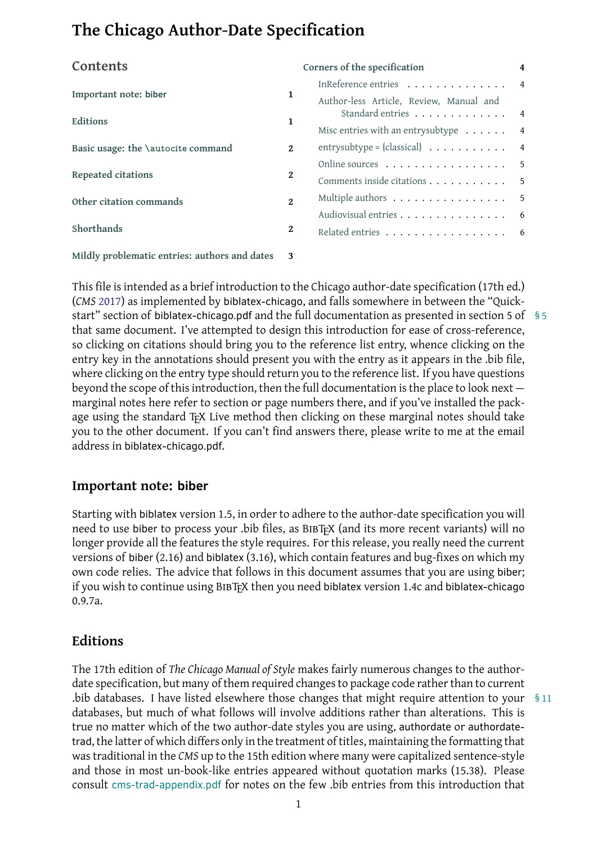| Contents                                      |              | Corners of the specification                         | 4 |
|-----------------------------------------------|--------------|------------------------------------------------------|---|
| Important note: biber                         | 1            | InReference entries 4                                |   |
|                                               |              | Author-less Article, Review, Manual and              |   |
| Editions                                      | 1            | Standard entries 4                                   |   |
|                                               |              | Misc entries with an entry subtype $\ldots \ldots$ 4 |   |
| Basic usage: the <i>\autocite command</i>     | $\mathbf{2}$ | entrysubtype = {classical} $\ldots \ldots \ldots$ 4  |   |
| <b>Repeated citations</b>                     | 2            | Online sources 5                                     |   |
|                                               |              | Comments inside citations 5                          |   |
| Other citation commands                       | $\mathbf{2}$ | Multiple authors $\dots \dots \dots \dots \dots$ 5   |   |
|                                               |              | Audiovisual entries 6                                |   |
| Shorthands                                    | $\mathbf{2}$ | Related entries 6                                    |   |
| Mildly problematic entries: authors and dates |              |                                                      |   |

[This file is](#page-1-3) intended as a brief introduction to the C[hicago autho](#page-5-0)r-date specification (17th ed.) (*CMS* [2017\) as implemented by](#page-2-0) biblatex-chicago, and falls somewhere in between the "Quickstart" section of biblatex-chicago.pdf and the full documentation as presented in section 5 of § 5 that same document. I've attempted to design this introduction for ease of cross-reference, so cli[cking](#page-16-0) on citations should bring you to the reference list entry, whence clicking on the entry key in the annotations should present you with the entry as it appears in the .bib file, where clicking on the entry type should return you to the reference list. If you have questions beyond the scope of this introduction, then the full documentation is the place to look next marginal notes here refer to section or page numbers there, and if you've installed the package using the standard T<sub>F</sub>X Live method then clicking on these marginal notes should take you to the other document. If you can't find answers there, please write to me at the email address in biblatex-chicago.pdf.

## **Important note: biber**

<span id="page-0-0"></span>Starting with biblatex version 1.5, in order to adhere to the author-date specification you will need to use biber to process your .bib files, as BIBT<sub>F</sub>X (and its more recent variants) will no longer provide all the features the style requires. For this release, you really need the current versions of biber (2.16) and biblatex (3.16), which contain features and bug-fixes on which my own code relies. The advice that follows in this document assumes that you are using biber; if you wish to continue using BIBT<sub>F</sub>X then you need biblatex version 1.4c and biblatex-chicago 0.9.7a.

## **Editions**

<span id="page-0-1"></span>The 17th edition of *The Chicago Manual of Style* makes fairly numerous changes to the authordate specification, but many of them required changes to package code rather than to current .bib databases. I have listed elsewhere those changes that might require attention to your § 11 databases, but much of what follows will involve additions rather than alterations. This is true no matter which of the two author-date styles you are using, authordate or authordatetrad, the latter of which differs only in the treatment of titles, maintaining the formatting that was traditional in the *CMS* up to the 15th edition where many were capitalized sentence-style and those in most un-book-like entries appeared without quotation marks (15.38). Please consult cms-trad-appendix.pdf for notes on the few .bib entries from this introduction that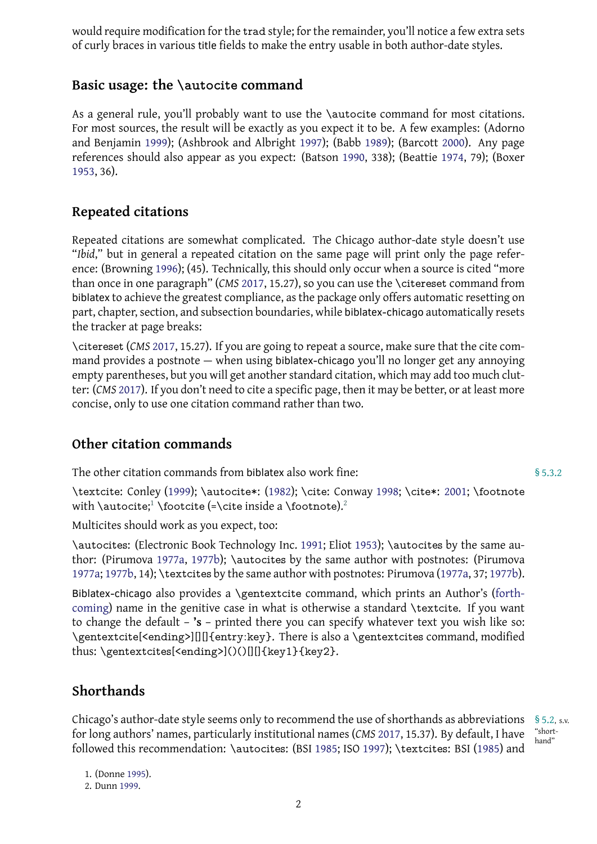## **Basic usage: the \autocite command**

<span id="page-1-0"></span>As a general rule, you'll probably want to use the *\autocite command for most citations*. For most sources, the result will be exactly as you expect it to be. A few examples: (Adorno and Benjamin 1999); (Ashbrook and Albright 1997); (Babb 1989); (Barcott 2000). Any page references should also appear as you expect: (Batson 1990, 338); (Beattie 1974, 79); (Boxer 1953, 36).

# **[Rep](#page-7-0)eated citations**

<span id="page-1-1"></span>Repeated citations are somewhat complicated. The Chicago author-date style doesn't use "*Ibid*," but in general a repeated citation on the same page will print only the page reference: (Browning 1996); (45). Technically, this should only occur when a source is cited "more than once in one paragraph" (*CMS* 2017, 15.27), so you can use the \citereset command from biblatex to achieve the greatest compliance, as the package only offers automatic resetting on part, chapter, se[ction,](#page-8-0) and subsection boundaries, while biblatex-chicago automatically resets the tracker at page breaks:

\citereset (*CMS* 2017, 15.27). If yo[u are g](#page-16-0)oing to repeat a source, make sure that the cite command provides a postnote — when using biblatex-chicago you'll no longer get any annoying empty parentheses, but you will get another standard citation, which may add too much clutter: (*CMS* 2017). [If you](#page-16-0) don't need to cite a specific page, then it may be better, or at least more concise, only to use one citation command rather than two.

### **Otherc[itati](#page-16-0)on commands**

The other citation commands from biblatex also work fine:  $$5.3.2$ 

<span id="page-1-2"></span>\textcite: Conley (1999); \autocite\*: (1982); \cite: Conway 1998; \cite\*: 2001; \footnote with **\autocite;<sup>1</sup> \footcite (=\cite** inside a **\footnote).**<sup>2</sup>

Multicites should work as you expect, too:

\autocites: (El[ec](#page-1-4)tr[onic](#page-8-1) Book Technolo[gy Inc](#page-8-2). 1991; Eliot 1953); [\a](#page-8-3)utocites [by th](#page-9-0)e same author: (Pirumova 1977a, 1977b); \autocites by the sa[me](#page-1-5) author with postnotes: (Pirumova 1977a; 1977b, 14); \textcites by the same author with postnotes: Pirumova (1977a, 37; 1977b).

Biblatex-chicago also provides a \gentextcite [com](#page-10-0)mand[, whi](#page-10-1)ch prints an Author's (forthcoming) name i[n the g](#page-14-0)[enitive](#page-14-1) case in what is otherwise a standard \textcite. If you want [to cha](#page-14-0)[nge th](#page-14-1)e default – **'s** – printed there you can specify whatever text [you w](#page-14-0)ish [like so](#page-14-1): \gentextcite[<ending>][][]{entry:key}. There is also a \gentextcites command, m[odified](#page-7-1) [thus:](#page-7-1) \gentextcites[<ending>]()()[][]{key1}{key2}.

# **Shorthands**

<span id="page-1-3"></span>Chicago's author-date style seems only to recommend the use of shorthands as abbreviations § 5.2, s.v. "shortfor long authors' names, particularly institutional names (*CMS* 2017, 15.37). By default, I have followed this recommendation: \autocites: (BSI 1985; ISO 1997); \textcites: BSI (1985) and

1. (Donne 1995).

<span id="page-1-5"></span><span id="page-1-4"></span>2. Dunn 1999.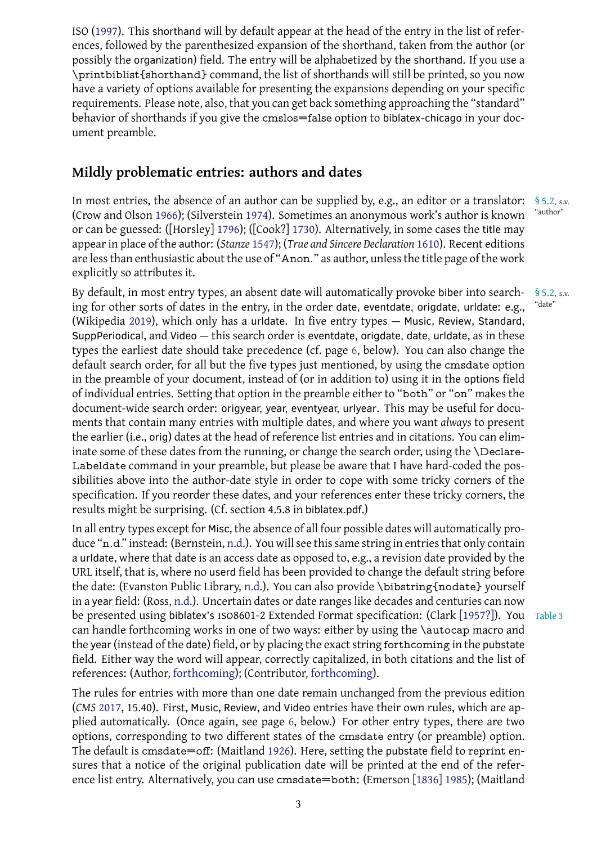ences, followed by the parenthesized expansion of the shorthand, taken from the author (or possibly the organization) field. The entry will be alphabetized by the shorthand. If you use a \pri[ntbib](#page-12-0)list{shorthand} command, the list of shorthands will still be printed, so you now have a variety of options available for presenting the expansions depending on your specific requirements. Please note, also, that you can get back something approaching the "standard" behavior of shorthands if you give the cmslos=false option to biblatex-chicago in your document preamble.

# **Mildly problematic entries: authors and dates**

<span id="page-2-0"></span>In most entries, the absence of an author can be supplied by, e.g., an editor or a translator: § 5.2, s.v.<br>(Crow and Olson 1066): (Silvarstoin 1074). Sometimes an anonymous work's author is known "author" (Crow and Olson 1966); (Silverstein 1974). Sometimes an anonymous work's author is known or can be guessed: ([Horsley] 1796); ([Cook?] 1730). Alternatively, in some cases the title may appear in place of the author: (*Stanze* 1547); (*True and Sincere Declaration* 1610). Recent editions are less than ent[husia](#page-9-1)stic about the [use o](#page-15-0)f "Anon." as author, unless the title page of the work explicitly so attributes it.

By default, in most entry typ[es, an](#page-12-1) a[bsent](#page-16-1) date [wi](#page-8-4)ll automatically pro[voke](#page-16-2) biber into search- § 5.2, s.v.<br>ing for other sorts of dates in the entry in the order date eventdate oriodate urldate: e.g. "<sup>date"</sup> ing for other sorts of dates in the entry, in the order date, eventdate, origdate, urldate: e.g., (Wikipedia 2019), which only has a urldate. In five entry types — Music, Review, Standard, SuppPeriodical, and Video  $-$  this search order is eventdate, origdate, date, urldate, as in these types the earliest date should take precedence (cf. page 6, below). You can also change the default sea[rch or](#page-17-0)der, for all but the five types just mentioned, by using the cmsdate option in the preamble of your document, instead of (or in addition to) using it in the options field of individual entries. Setting that option in the preamble [e](#page-5-1)ither to "both" or "on" makes the document-wide search order: origyear, year, eventyear, urlyear. This may be useful for documents that contain many entries with multiple dates, and where you want *always* to present the earlier (i.e., orig) dates at the head of reference list entries and in citations. You can eliminate some of these dates from the running, or change the search order, using the \Declare-Labeldate command in your preamble, but please be aware that I have hard-coded the possibilities above into the author-date style in order to cope with some tricky corners of the specification. If you reorder these dates, and your references enter these tricky corners, the results might be surprising. (Cf. section 4.5.8 in biblatex.pdf.)

In all entry types except for Misc, the absence of all four possible dates will automatically produce "n.d." instead: (Bernstein, n.d.). You will see this same string in entries that only contain a urldate, where that date is an access date as opposed to, e.g., a revision date provided by the URL itself, that is, where no userd field has been provided to change the default string before the date: (Evanston Public Libr[ary,](#page-7-2) n.d.). You can also provide \bibstring{nodate} yourself in a year field: (Ross, n.d.). Uncertain dates or date ranges like decades and centuries can now be presented using biblatex's ISO8601-2 Extended Format specification: (Clark [1957?]). You Table 3 can handle forthcoming works in [one o](#page-11-0)f two ways: either by using the \autocap macro and the year (instead of the date) field, or by placing the exact string forthcoming in the pubstate field. Either way the [wor](#page-15-1)d will appear, correctly capitalized, in both citations [and the](#page-8-5) list of references: (Author, forthcoming); (Contributor, forthcoming).

The rules for entries with more than one date remain unchanged from the previous edition (*CMS* 2017, 15.40). First, Music, Review, and Video entries have their own rules, which are applied automatically. [\(Once again](#page-7-1), see page 6, b[elow.\) For oth](#page-8-6)er entry types, there are two options, corresponding to two different states of the cmsdate entry (or preamble) option. The [defaul](#page-16-0)t is cmsdate=off: (Maitland 1926). Here, setting the pubstate field to reprint ensures that a notice of the original publicati[on](#page-5-1) date will be printed at the end of the reference list entry. Alternatively, you can use cmsdate=both: (Emerson [1836] 1985); (Maitland

3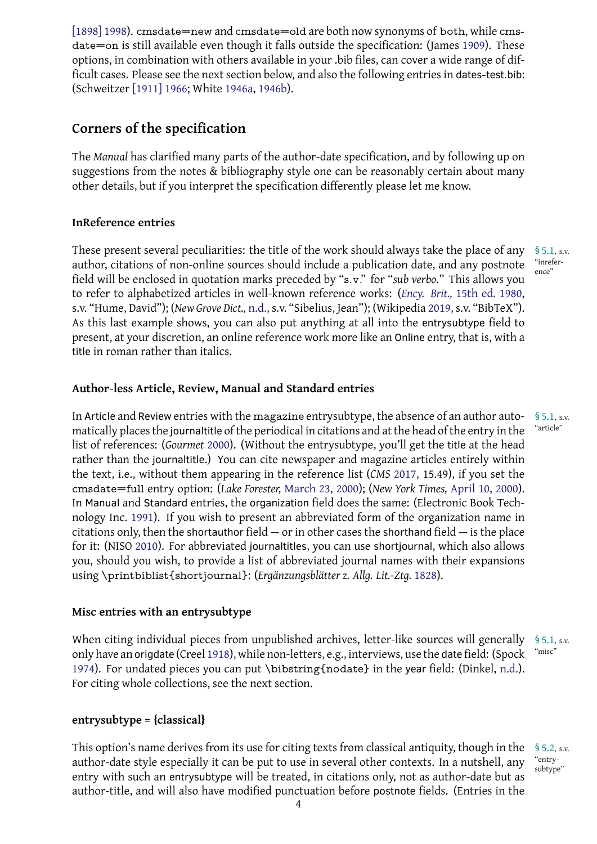date on is still available even though it falls outside the specification:  $\mathbf{J}$ options, in combination with others available in your .bib files, can cover a wide range of dif[ficult cases.](#page-13-0) Please see the next section below, and also the following entries in dates-test.bib: (Schweitzer [1911] 1966; White 1946a, 1946b).

# **Corners [of the spec](#page-15-2)ifica[tion](#page-17-1)**

<span id="page-3-0"></span>The *Manual* has clarified many parts of the author-date specification, and by following up on suggestions from the notes & bibliography style one can be reasonably certain about many other details, but if you interpret the specification differently please let me know.

### **InReference entries**

<span id="page-3-1"></span>These present several peculiarities: the title of the work should always take the place of any § 5.1, s.v. author, citations of non-online sources should include a publication date, and any postnote field will be enclosed in quotation marks preceded by "s.v." for "*sub verbo*." This allows you to refer to alphabetized articles in well-known reference works: (*Ency. Brit.,* 15th ed*.* 1980, s.v. "Hume, David"); (*New Grove Dict.,* n.d., s.v. "Sibelius, Jean"); (Wikipedia 2019, s.v. "BibTeX"). As this last example shows, you can also put anything at all into the entrysubtype field to present, at your discretion, an online reference work more like an Online [entry, that is, with a](#page-10-2) title in roman rather than italics.

### **Author-less Article, Review, Manual and Standard entries**

<span id="page-3-2"></span>In Article and Review entries with the magazine entrysubtype, the absence of an author auto- § 5.1, s.v.<br>matically places the journalitie of the poriodical in citations and at the head of the optev in the "article" matically places the journaltitle of the periodical in citations and at the head of the entry in the list of references: (*Gourmet* 2000). (Without the entrysubtype, you'll get the title at the head rather than the journaltitle.) You can cite newspaper and magazine articles entirely within the text, i.e., without them appearing in the reference list (*CMS* 2017, 15.49), if you set the cmsdate=full entry option: (*Lake Forester,* March 23, 2000); (*New York Times,* April 10, 2000). In Manual and Standard ent[ries,](#page-11-1) the organization field does the same: (Electronic Book Technology Inc. 1991). If you wish to present an abbreviated form o[f the](#page-16-0) organization name in citations only, then the shortauthor field  $-$  [or in other cases](#page-13-1) the shorthand field  $-$  is the place for it: (NISO 2010). For abbreviated journaltitles, you can use shortjournal, which also allows you, should [you](#page-10-0) wish, to provide a list of abbreviated journal names with their expansions using \printbiblist{shortjournal}: (*Ergänzungsblätter z. Allg. Lit.-Ztg.* 1828).

### **Misc entries with an entrysubtype**

<span id="page-3-3"></span>When citing individual pieces from unpublished archives, letter-like [sour](#page-11-2)ces will generally § 5.1, s.v.<br>only have an origidate (Creel 1918), while non-letters e.g. interviews, use the date field: (Spock "misc" only have an origdate (Creel 1918), while non-letters, e.g., interviews, use the date field: (Spock 1974). For undated pieces you can put \bibstring{nodate} in the year field: (Dinkel, n.d.). For citing whole collections, see the next section.

## **[entr](#page-16-3)ysubtype = {classical}**

<span id="page-3-4"></span>This option's name derives from its use for citing texts from classical antiquity, though in the § 5.2, s.v. author-date style especially it can be put to use in several other contexts. In a nutshell, any entry with such an entrysubtype will be treated, in citations only, not as author-date but as author-title, and will also have modified punctuation before postnote fields. (Entries in the

4

"entry-<br>subtype"

"inrefer-<br>ence"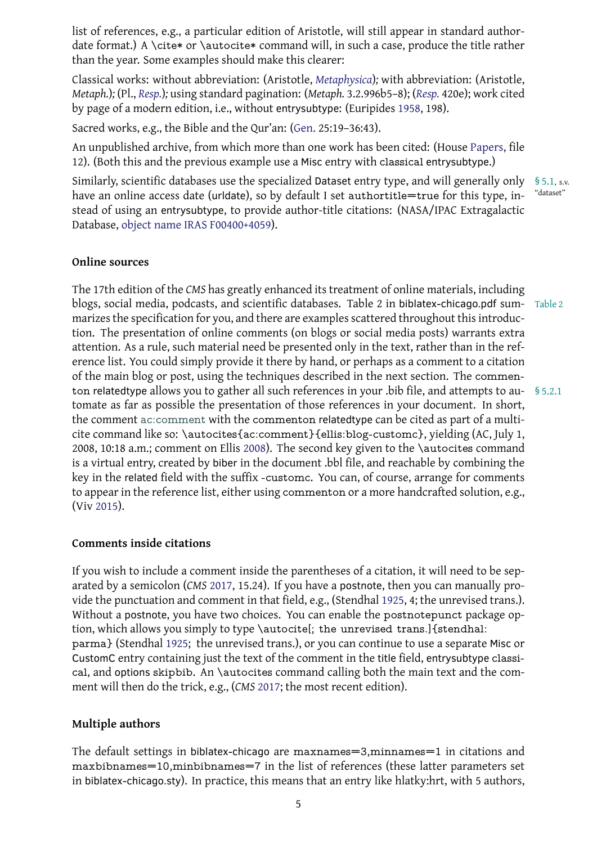date for a single state or  $\alpha$  or  $\alpha$  or  $\alpha$  case, produce the title rather rather rather rather rather rather rather rather rather rather rather rather rather rather rather rather rather rather rather rather rather ra than the year. Some examples should make this clearer:

Classical works: without abbreviation: (Aristotle, *Metaphysica*)*;* with abbreviation: (Aristotle, *Metaph.*)*;* (Pl., *Resp.*)*;* using standard pagination: (*Metaph.* 3.2.996b5–8); (*Resp.* 420e); work cited by page of a modern edition, i.e., without entrysubtype: (Euripides 1958, 198).

Sacred works, e.g., the Bible and the Qur'an: (Gen. [25:19–36:43](#page-6-0)).

An unpublish[ed ar](#page-15-3)chive, from which more than one work has been cit[ed: \(H](#page-15-3)ouse Papers, file 12). (Both this and the previous example use a Misc entry with cla[ssical](#page-11-3) entrysubtype.)

Similarly, scientific databases use the special[ized](#page-11-4) Dataset entry type, and will generally only § 5.1, s.v. have an online access date (urldate), so by default I set authortitle=true for t[his type](#page-12-2), in- "dataset" stead of using an entrysubtype, to provide author-title citations: (NASA/IPAC Extragalactic Database, object name IRAS F00400+4059).

#### **Online so[urces](#page-13-2)**

<span id="page-4-0"></span>The 17th edition of the *CMS* has greatly enhanced its treatment of online materials, including blogs, social media, podcasts, and scientific databases. Table 2 in biblatex-chicago.pdf sum- Table 2 marizes the specification for you, and there are examples scattered throughout this introduction. The presentation of online comments (on blogs or social media posts) warrants extra attention. As a rule, such material need be presented only in the text, rather than in the reference list. You could simply provide it there by hand, or perhaps as a comment to a citation of the main blog or post, using the techniques described in the next section. The commenton relatedtype allows you to gather all such references in your .bib file, and attempts to au- § 5.2.1 tomate as far as possible the presentation of those references in your document. In short, the comment ac:comment with the commenton relatedtype can be cited as part of a multicite command like so: \autocites{ac:comment}{ellis:blog-customc}, yielding (AC, July 1, 2008, 10:18 a.m.; comment on Ellis 2008). The second key given to the \autocites command is a virtual en[try, created by](#page-18-0) biber in the document .bbl file, and reachable by combining the key in the related field with the suffix -customc. You can, of course, arrange for comments to appear in the reference list, eith[er usi](#page-10-3)ng commenton or a more handcrafted solution, e.g., (Viv 2015).

### **Co[mment](#page-16-4)s inside citations**

<span id="page-4-1"></span>If you wish to include a comment inside the parentheses of a citation, it will need to be separated by a semicolon (*CMS* 2017, 15.24). If you have a postnote, then you can manually provide the punctuation and comment in that field, e.g., (Stendhal 1925, 4; the unrevised trans.). Without a postnote, you have two choices. You can enable the postnotepunct package option, which allows you simp[ly to](#page-16-0) type \autocite[; the unrevised trans.]{stendhal: parma} (Stendhal 1925; the unrevised trans.), or you can cont[inue](#page-16-5) to use a separate Misc or CustomC entry containing just the text of the comment in the title field, entrysubtype classical, and options skipbib. An \autocites command calling both the main text and the comment will then do [the tr](#page-16-5)ick, e.g., (*CMS* 2017; the most recent edition).

### **Multiple authors**

The default settings in biblatex-chicago are maxnames=3,minnames=1 in citations and maxbibnames=10,minbibnames=7 in the list of references (these latter parameters set in biblatex-chicago.sty). In practice, this means that an entry like hlatky:hrt, with 5 authors,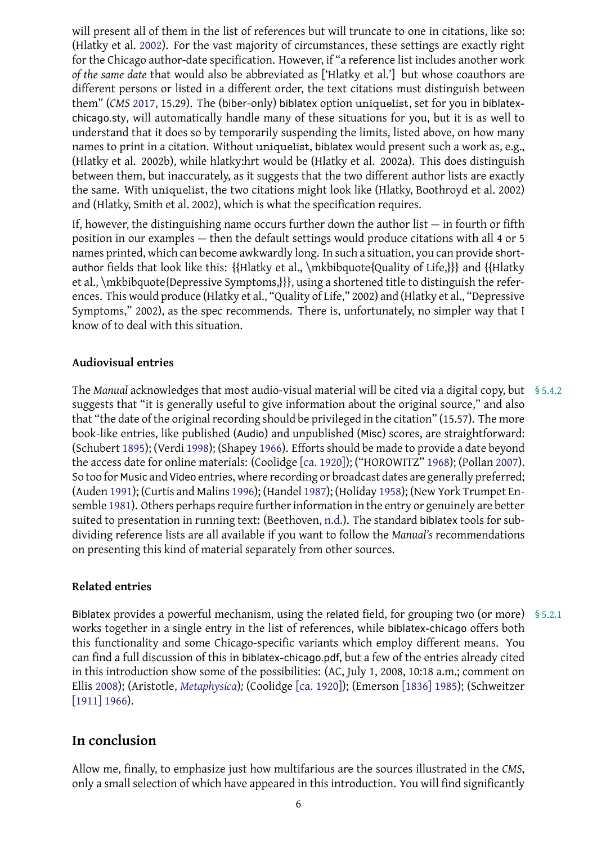(Fig. 2002). For the vast majority of circumstances, the vast majority of circumstances, the vast majority right  $\sim$ for the Chicago author-date specification. However, if "a reference list includes another work *of the same date* that would also be abbreviated as ['Hlatky et al.'] but whose coauthors are different per[sons o](#page-12-3)r listed in a different order, the text citations must distinguish between them" (*CMS* 2017, 15.29). The (biber-only) biblatex option uniquelist, set for you in biblatexchicago.sty, will automatically handle many of these situations for you, but it is as well to understand that it does so by temporarily suspending the limits, listed above, on how many names to pr[int in](#page-16-0) a citation. Without uniquelist, biblatex would present such a work as, e.g., (Hlatky et al. 2002b), while hlatky:hrt would be (Hlatky et al. 2002a). This does distinguish between them, but inaccurately, as it suggests that the two different author lists are exactly the same. With uniquelist, the two citations might look like (Hlatky, Boothroyd et al. 2002) and (Hlatky, Smith et al. 2002), which is what the specification requires.

If, however, the distinguishing name occurs further down the author list  $-$  in fourth or fifth position in our examples — then the default settings would produce citations with all 4 or 5 names printed, which can become awkwardly long. In such a situation, you can provide shortauthor fields that look like this: {{Hlatky et al., \mkbibquote{Quality of Life,}}} and {{Hlatky et al., \mkbibquote{Depressive Symptoms,}}}, using a shortened title to distinguish the references. This would produce (Hlatky et al., "Quality of Life," 2002) and (Hlatky et al., "Depressive Symptoms," 2002), as the spec recommends. There is, unfortunately, no simpler way that I know of to deal with this situation.

### **Audiovisual entries**

<span id="page-5-1"></span>The *Manual* acknowledges that most audio-visual material will be cited via a digital copy, but § 5.4.2 suggests that "it is generally useful to give information about the original source," and also that "the date of the original recording should be privileged in the citation" (15.57). The more book-like entries, like published (Audio) and unpublished (Misc) scores, are straightforward: (Schubert 1895); (Verdi 1998); (Shapey 1966). Efforts should be made to provide a date beyond the access date for online materials: (Coolidge [ca. 1920]); ("HOROWITZ" 1968); (Pollan 2007). So too for Music and Video entries, where recording or broadcast dates are generally preferred; (Auden 19[91\); \(C](#page-15-4)urtis a[nd Ma](#page-16-6)lins 1996)[; \(Han](#page-15-5)del 1987); (Holiday 1958); (New York Trumpet Ensemble 1981). Others perhaps require further i[nformatio](#page-9-2)n in the entry or [genu](#page-12-4)inely are [bette](#page-15-6)r suited to presentation in running text: (Beethoven, n.d.). The standard biblatex tools for subdividin[g refe](#page-6-1)rence lists are all a[vailab](#page-9-3)le if you [want t](#page-11-5)o follow the *Manual's* recommendations on pres[entin](#page-14-3)g this kind of material separately from other sour[ces.](#page-12-5)

### **Related entries**

<span id="page-5-0"></span>Biblatex provides a powerful mechanism, using the related field, for grouping two (or more) § 5.2.1 works together in a single entry in the list of references, while biblatex-chicago offers both this functionality and some Chicago-specific variants which employ different means. You can find a full discussion of this in biblatex-chicago.pdf, but a few of the entries already cited in this introduction show some of the possibilities: (AC, July 1, 2008, 10:18 a.m.; comment on Ellis 2008); (Aristotle, *Metaphysica*)*;* (Coolidge [ca. 1920]); (Emerson [1836] 1985); (Schweitzer [1911] 1966).

# **[In c](#page-15-2)[onc](#page-10-3)[lu](#page-15-2)sion**

Allow me, finally, to emphasize just how multifarious are the sources illustrated in the *CMS*, only a small selection of which have appeared in this introduction. You will find significantly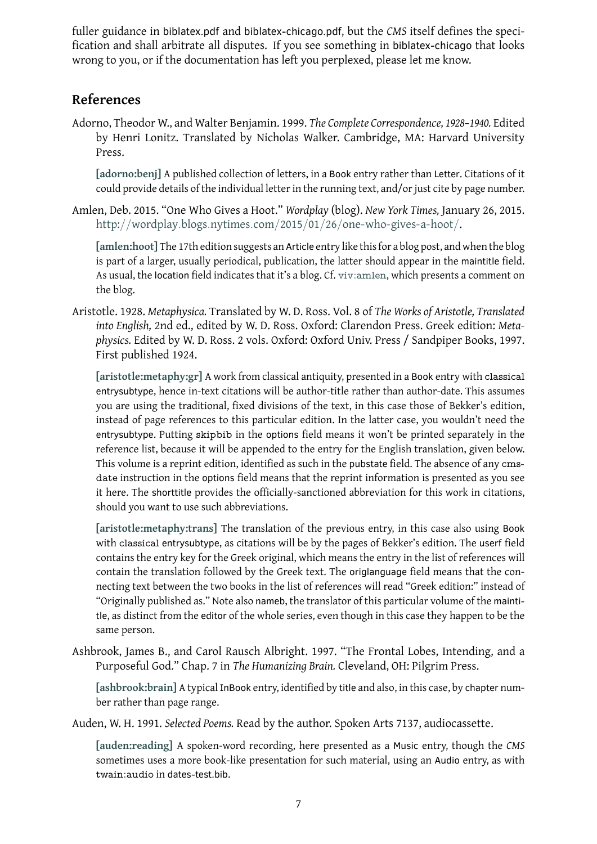fication and shall arbitrate all disputes. If you see something in biblatex-chicago that looks wrong to you, or if the documentation has left you perplexed, please let me know.

# **References**

Adorno, Theodor W., and Walter Benjamin. 1999. *The Complete Correspondence, 1928–1940.* Edited by Henri Lonitz. Translated by Nicholas Walker. Cambridge, MA: Harvard University Press.

<span id="page-6-2"></span>**[adorno:benj]** A published collection of letters, in a Book entry rather than Letter. Citations of it could provide details of the individual letter in the running text, and/or just cite by page number.

Amlen, Deb. 2015. "One Who Gives a Hoot." *Wordplay* (blog). *New York Times,* January 26, 2015. http://[wordp](#page-18-1)lay*.*blogs*.*nytimes*.*com/2015/01/26/one-who-gives-a-hoot/.

<span id="page-6-3"></span>**[amlen:hoot]** The 17th edition suggests an Article entry like this for a blog post, and when the blog is part of a larger, usually periodical, publication, the latter should appear in the maintitle field. As usual, the location [field indicates that it's a blog. Cf.](http://wordplay.blogs.nytimes.com/2015/01/26/one-who-gives-a-hoot/) viv:amlen, which presents a comment on [the blog.](#page-18-2)

Aristotle. 1928. *Metaphysica.* Translated by W. D. Ross. Vol. 8 of *The Works of Aristotle, Translated into English,* 2nd ed., edited by W. D. Ross. Oxford: [Clarendon](#page-25-0) Press. Greek edition: *Metaphysics.* Edited by W. D. Ross. 2 vols. Oxford: Oxford Univ. Press / Sandpiper Books, 1997. First published 1924.

<span id="page-6-0"></span>**[aristotle:metaphy:gr]** A work from classical antiquity, presented in a Book entry with classical entrysubtype, hence in-text citations will be author-title rather than author-date. This assumes you are using the traditional, fixed divisions of the text, in this case those of Bekker's edition, [instead of page referenc](#page-18-3)es to this particular edition. In the latter case, you wouldn't need the entrysubtype. Putting skipbib in the options field means it won't be printed separately in the reference list, because it will be appended to the entry for the English translation, given below. This volume is a reprint edition, identified as such in the pubstate field. The absence of any cmsdate instruction in the options field means that the reprint information is presented as you see it here. The shorttitle provides the officially-sanctioned abbreviation for this work in citations, should you want to use such abbreviations.

**[aristotle:metaphy:trans]** The translation of the previous entry, in this case also using Book with classical entrysubtype, as citations will be by the pages of Bekker's edition. The userf field contains the entry key for the Greek original, which means the entry in the list of references will contain the translation followed by the Greek text. The origlanguage field means that the con[necting text between the tw](#page-18-4)o books in the list of references will read "Greek edition:" instead of "Originally published as." Note also nameb, the translator of this particular volume of the maintitle, as distinct from the editor of the whole series, even though in this case they happen to be the same person.

Ashbrook, James B., and Carol Rausch Albright. 1997. "The Frontal Lobes, Intending, and a Purposeful God." Chap. 7 in *The Humanizing Brain.* Cleveland, OH: Pilgrim Press.

**[ashbrook:brain]** A typical InBook entry, identified by title and also, in this case, by chapter number rather than page range.

<span id="page-6-4"></span>Auden, W. H. 1991. *Selected Poems.* Read by the author. Spoken Arts 7137, audiocassette.

<span id="page-6-1"></span>**[\[auden:reading\]](#page-18-5)** A spoken-word recording, here presented as a Music entry, though the *CMS* sometimes uses a more book-like presentation for such material, using an Audio entry, as with twain:audio in dates-test.bib.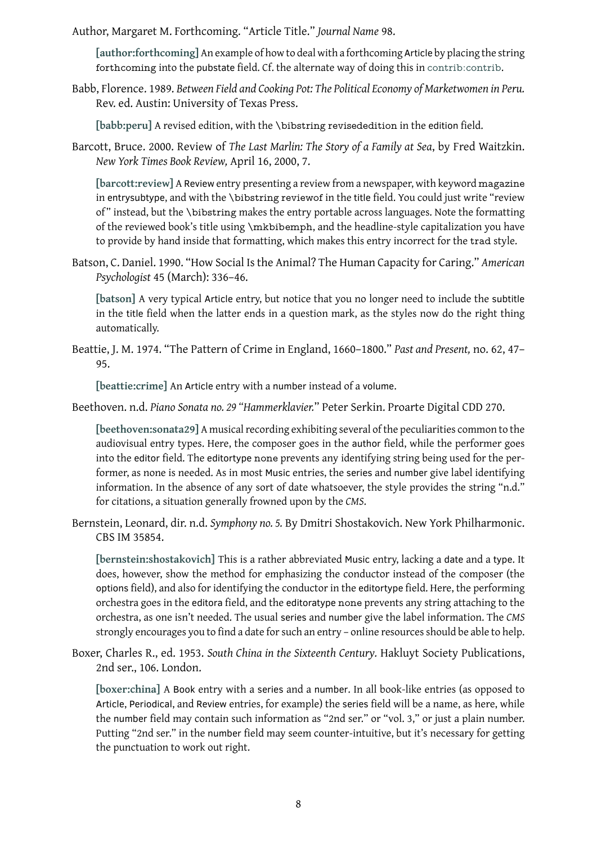**[author:forthcoming]** An example of how to deal with a forthcoming Article by placing the string forthcoming into the pubstate field. Cf. the alternate way of doing this in contrib:contrib.

<span id="page-7-1"></span>Babb, Florence. 1989. *Between Field and Cooking Pot: The Political Economy of Marketwomen in Peru.* [Rev. ed. Austin: Unive](#page-18-6)rsity of Texas Press.

**[babb:peru]** A revised edition, with the \bibstring revisededition in the [edition](#page-20-0) field.

<span id="page-7-3"></span>Barcott, Bruce. 2000. Review of *The Last Marlin: The Story of a Family at Sea*, by Fred Waitzkin. *New York Times Book Review,* April 16, 2000, 7.

<span id="page-7-4"></span>**[\[barcott:rev](#page-19-0)iew]** A Review entry presenting a review from a newspaper, with keyword magazine in entrysubtype, and with the \bibstring reviewof in the title field. You could just write "review of" instead, but the \bibstring makes the entry portable across languages. Note the formatting [of the reviewed b](#page-19-1)ook's title using \mkbibemph, and the headline-style capitalization you have to provide by hand inside that formatting, which makes this entry incorrect for the trad style.

Batson, C. Daniel. 1990. "How Social Is the Animal? The Human Capacity for Caring." *American Psychologist* 45 (March): 336–46.

<span id="page-7-5"></span>**[batson]** A very typical Article entry, but notice that you no longer need to include the subtitle in the title field when the latter ends in a question mark, as the styles now do the right thing automatically.

Beat[tie, J. M.](#page-19-2) 1974. "The Pattern of Crime in England, 1660–1800." *Past and Present,* no. 62, 47– 95.

**[beattie:crime]** An Article entry with a number instead of a volume.

<span id="page-7-6"></span>Beethoven. n.d. *Piano Sonata no. 29 "Hammerklavier.*" Peter Serkin. Proarte Digital CDD 270.

<span id="page-7-7"></span>**[beethoven:sonata29]** A musical recording exhibiting several of the peculiarities common to the [audiovisual entr](#page-19-3)y types. Here, the composer goes in the author field, while the performer goes into the editor field. The editortype none prevents any identifying string being used for the per[former, as none is need](#page-19-4)ed. As in most Music entries, the series and number give label identifying information. In the absence of any sort of date whatsoever, the style provides the string "n.d." for citations, a situation generally frowned upon by the *CMS*.

Bernstein, Leonard, dir. n.d. *Symphony no. 5.* By Dmitri Shostakovich. New York Philharmonic. CBS IM 35854.

<span id="page-7-2"></span>**[bernstein:shostakovich]** This is a rather abbreviated Music entry, lacking a date and a type. It does, however, show the method for emphasizing the conductor instead of the composer (the options field), and also for identifying the conductor in the editortype field. Here, the performing orchestra goes in the editora field, and the editoratype none prevents any string attaching to the [orchestra, as one isn't need](#page-19-5)ed. The usual series and number give the label information. The *CMS* strongly encourages you to find a date for such an entry – online resources should be able to help.

Boxer, Charles R., ed. 1953. *South China in the Sixteenth Century.* Hakluyt Society Publications, 2nd ser., 106. London.

<span id="page-7-0"></span>**[boxer:china]** A Book entry with a series and a number. In all book-like entries (as opposed to Article, Periodical, and Review entries, for example) the series field will be a name, as here, while the number field may contain such information as "2nd ser." or "vol. 3," or just a plain number. Putting "2nd ser." in the number field may seem counter-intuitive, but it's necessary for getting [the punctuatio](#page-19-6)n to work out right.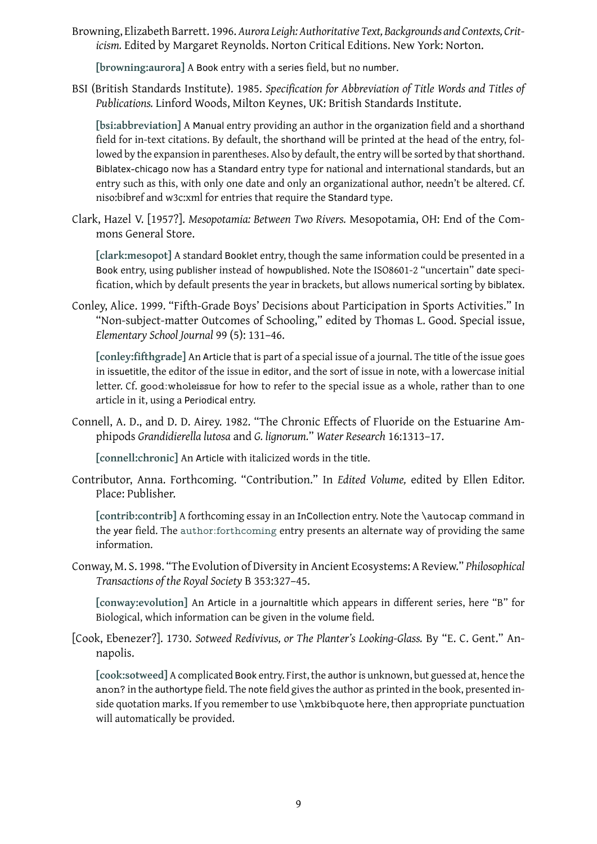*icism.* Edited by Margaret Reynolds. Norton Critical Editions. New York: Norton.

**[browning:aurora]** A Book entry with a series field, but no number.

<span id="page-8-0"></span>BSI (British Standards Institute). 1985. *Specification for Abbreviation of Title Words and Titles of Publications.* Linford Woods, Milton Keynes, UK: British Standards Institute.

<span id="page-8-7"></span>**[\[bsi:abbreviation\]](#page-19-7)** A Manual entry providing an author in the organization field and a shorthand field for in-text citations. By default, the shorthand will be printed at the head of the entry, followed by the expansion in parentheses. Also by default, the entry will be sorted by that shorthand. Biblatex-chicago now has a Standard entry type for national and international standards, but an [entry such as this, w](#page-19-8)ith only one date and only an organizational author, needn't be altered. Cf. niso:bibref and w3c:xml for entries that require the Standard type.

Clark, Hazel V. [1957?]. *Mesopotamia: Between Two Rivers.* Mesopotamia, OH: End of the Commons General Store.

<span id="page-8-5"></span>**[clark:mesopot]** A standard Booklet entry, though the same information could be presented in a Book entry, using publisher instead of howpublished. Note the ISO8601-2 "uncertain" date specification, which by default presents the year in brackets, but allows numerical sorting by biblatex.

Conl[ey, Alice. 1999. "](#page-20-1)Fifth-Grade Boys' Decisions about Participation in Sports Activities." In "Non-subject-matter Outcomes of Schooling," edited by Thomas L. Good. Special issue, *Elementary School Journal* 99 (5): 131–46.

<span id="page-8-1"></span>**[conley:fifthgrade]** An Article that is part of a special issue of a journal. The title of the issue goes in issuetitle, the editor of the issue in editor, and the sort of issue in note, with a lowercase initial letter. Cf. good:wholeissue for how to refer to the special issue as a whole, rather than to one [article in it, using a](#page-20-2) Periodical entry.

Connell, A. D., and D. D. Airey. 1982. "The Chronic Effects of Fluoride on the Estuarine Amphipods *Grandidierella lutosa* and *G. lignorum.*" *Water Research* 16:1313–17.

**[connell:chronic]** An Article with italicized words in the title.

<span id="page-8-2"></span>Contributor, Anna. Forthcoming. "Contribution." In *Edited Volume,* edited by Ellen Editor. Place: Publisher.

<span id="page-8-6"></span>**[\[contrib:contrib\]](#page-20-3)** A forthcoming essay in an InCollection entry. Note the \autocap command in the year field. The author:forthcoming entry presents an alternate way of providing the same information.

Con[way, M. S. 1998. "T](#page-20-0)he Evolution of Diversity in Ancient Ecosystems: A Review." *Philosophical Transactions of th[e Royal Society](#page-18-6)* B 353:327–45.

<span id="page-8-3"></span>**[conway:evolution]** An Article in a journaltitle which appears in different series, here "B" for Biological, which information can be given in the volume field.

[Cook, Ebenezer?]. 1730. *Sotweed Redivivus, or The Planter's Looking-Glass.* By "E. C. Gent." An[napolis.](#page-20-4)

<span id="page-8-4"></span>[cook:sotweed] A complicated Book entry. First, the author is unknown, but guessed at, hence the anon? in the authortype field. The note field gives the author as printed in the book, presented inside quotation marks. If you remember to use \mkbibquote here, then appropriate punctuation [will automatical](#page-20-5)ly be provided.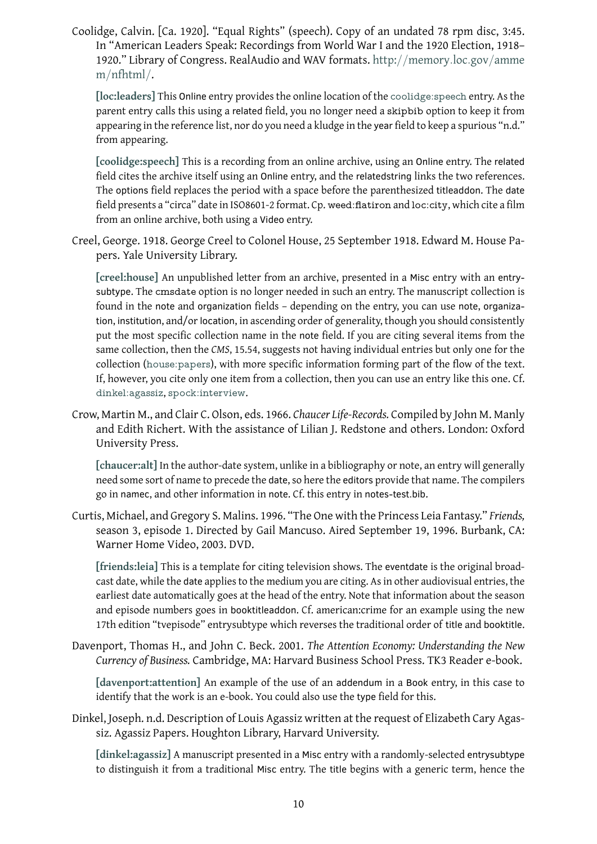In "American Leaders Speak: Recordings from World War I and the 1920 Election, 1918– 1920." Library of Congress. RealAudio and WAV formats. http://memory*.*loc*.*gov/amme m/nfhtml/.

<span id="page-9-2"></span>**[loc:leaders]** This Online entry provides the online location of the coolidge:speech entry. As the parent entry calls this using a related field, you no longer need a skipbib [option to keep it from](http://memory.loc.gov/ammem/nfhtml/) [appearing in](http://memory.loc.gov/ammem/nfhtml/) the reference list, nor do you need a kludge in the year field to keep a spurious "n.d." [from appearin](#page-23-0)g.

**[coolidge:speech]** This is a recording from an online archive, using an Online entry. The related field cites the archive itself using an Online entry, and the relatedstring links the two references. The options field replaces the period with a space before the parenthesized titleaddon. The date field presents a "circa" date in ISO8601-2 format. Cp. weed:flatiron and loc:city, which cite a film [from an online arch](#page-20-6)ive, both using a Video entry.

Creel, George. 1918. George Creel to Colonel House, 25 September 1918. Edward M. House Papers. Yale University Library.

<span id="page-9-4"></span>**[creel:house]** An unpublished letter from an archive, presented in a Misc entry with an entrysubtype. The cmsdate option is no longer needed in such an entry. The manuscript collection is found in the note and organization fields – depending on the entry, you can use note, organization, institution, and/or location, in ascending order of generality, though you should consistently [put the most s](#page-20-7)pecific collection name in the note field. If you are citing several items from the same collection, then the *CMS*, 15.54, suggests not having individual entries but only one for the collection (house:papers), with more specific information forming part of the flow of the text. If, however, you cite only one item from a collection, then you can use an entry like this one. Cf. dinkel:agassiz, spock:interview.

Crow, Martin [M., and Clair C.](#page-22-0) Olson, eds. 1966. *Chaucer Life-Records.* Compiled by John M. Manly and Edith Richert. With the assistance of Lilian J. Redstone and others. London: Oxford [University Pre](#page-20-8)[ss.](#page-24-0)

<span id="page-9-1"></span>**[chaucer:alt]** In the author-date system, unlike in a bibliography or note, an entry will generally need some sort of name to precede the date, so here the editors provide that name. The compilers go in namec, and other information in note. Cf. this entry in notes-test.bib.

Curt[is, Michael, an](#page-19-9)d Gregory S. Malins. 1996. "The One with the Princess Leia Fantasy." *Friends,* season 3, episode 1. Directed by Gail Mancuso. Aired September 19, 1996. Burbank, CA: Warner Home Video, 2003. DVD.

<span id="page-9-3"></span>**[friends:leia]** This is a template for citing television shows. The eventdate is the original broadcast date, while the date applies to the medium you are citing. As in other audiovisual entries, the earliest date automatically goes at the head of the entry. Note that information about the season and episode numbers goes in booktitleaddon. Cf. american:crime for an example using the new [17th edition "t](#page-21-0)vepisode" entrysubtype which reverses the traditional order of title and booktitle.

Davenport, Thomas H., and John C. Beck. 2001. *The Attention Economy: Understanding the New Currency of Business.* Cambridge, MA: Harvard Business School Press. TK3 Reader e-book.

**[davenport:attention]** An example of the use of an addendum in a Book entry, in this case to identify that the work is an e-book. You could also use the type field for this.

<span id="page-9-0"></span>Dinkel, Joseph. n.d. Description of Louis Agassiz written at the request of Elizabeth Cary Agas[siz. Agassiz Papers. Ho](#page-20-9)ughton Library, Harvard University.

<span id="page-9-5"></span>**[dinkel:agassiz]** A manuscript presented in a Misc entry with a randomly-selected entrysubtype to distinguish it from a traditional Misc entry. The title begins with a generic term, hence the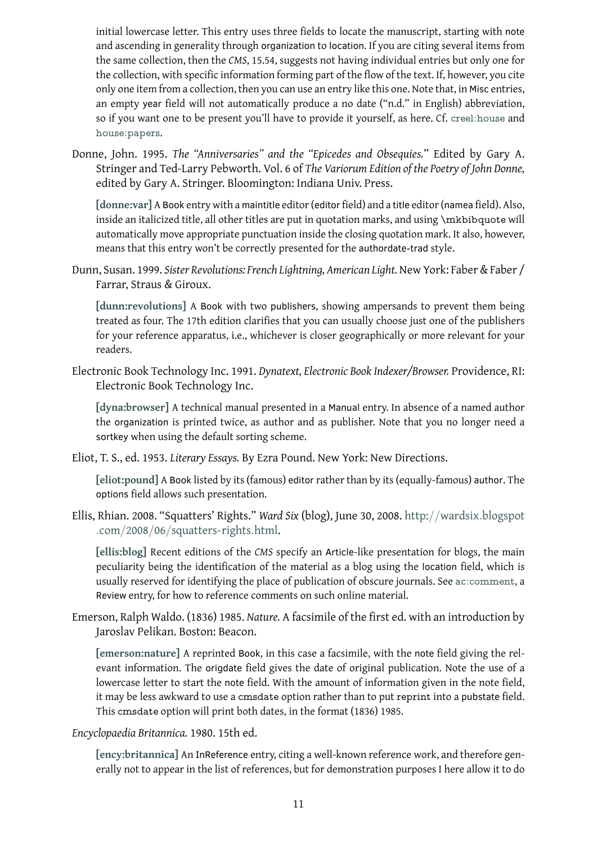- and ascending in generality through organization to location. If you are citing several items from the same collection, then the *CMS*, 15.54, suggests not having individual entries but only one for the collection, with specific information forming part of the flow of the text. If, however, you cite only one item from a collection, then you can use an entry like this one. Note that, in Misc entries, an empty year field will not automatically produce a no date ("n.d." in English) abbreviation, so if you want one to be present you'll have to provide it yourself, as here. Cf. creel:house and house:papers.
- Donne, John. 1995. *The "Anniversaries" and the "Epicedes and Obsequies.*" Edited by Gary A. Stringer and Ted-Larry Pebworth. Vol. 6 of *The Variorum Edition of the Poet[ry of John Do](#page-20-7)nne,* [edited by Gar](#page-22-0)y A. Stringer. Bloomington: Indiana Univ. Press.

**[donne:var]** A Book entry with a maintitle editor (editor field) and a title editor (namea field). Also, inside an italicized title, all other titles are put in quotation marks, and using \mkbibquote will automatically move appropriate punctuation inside the closing quotation mark. It also, however, [means that t](#page-20-10)his entry won't be correctly presented for the authordate-trad style.

Dunn, Susan. 1999. *Sister Revolutions: French Lightning, American Light.* New York: Faber & Faber / Farrar, Straus & Giroux.

<span id="page-10-4"></span>**[dunn:revolutions]** A Book with two publishers, showing ampersands to prevent them being treated as four. The 17th edition clarifies that you can usually choose just one of the publishers for your reference apparatus, i.e., whichever is closer geographically or more relevant for your [readers.](#page-21-1)

Electronic Book Technology Inc. 1991. *Dynatext, Electronic Book Indexer/Browser.* Providence, RI: Electronic Book Technology Inc.

<span id="page-10-0"></span>**[dyna:browser]** A technical manual presented in a Manual entry. In absence of a named author the organization is printed twice, as author and as publisher. Note that you no longer need a sortkey when using the default sorting scheme.

Eliot[, T. S., ed. 1953.](#page-21-2) *Literary Essays.* By Ezra Pound. New York: New Directions.

**[eliot:pound]** A Book listed by its (famous) editor rather than by its (equally-famous) author. The options field allows such presentation.

<span id="page-10-1"></span>Ellis, Rhian. 2008. "Squatters' Rights." *Ward Six* (blog), June 30, 2008. http://wardsix*.*blogspot *.*com/[2008](#page-21-3)/06/squatters-rights*.*html.

<span id="page-10-3"></span>**[ellis:blog]** Recent editions of the *CMS* specify an Article-like presentation for blogs, the main peculiarity being the identification of the material as a blog using the location [field, which is](http://wardsix.blogspot.com/2008/06/squatters-rights.html) [usually reserved for identifying the place](http://wardsix.blogspot.com/2008/06/squatters-rights.html) of publication of obscure journals. See ac:comment, a [Review](#page-21-4) entry, for how to reference comments on such online material.

Emerson, Ralph Waldo. (1836) 1985. *Nature.* A facsimile of the first ed. with an introduction by Jaroslav Pelikan. Boston: Beacon.

<span id="page-10-5"></span>**[emerson:nature]** A reprinted Book, in this case a facsimile, with the note field giving the relevant information. The origdate field gives the date of original publication. Note the use of a lowercase letter to start the note field. With the amount of information given in the note field, [it may be less awkw](#page-21-5)ard to use a cmsdate option rather than to put reprint into a pubstate field. This cmsdate option will print both dates, in the format (1836) 1985.

*Encyclopaedia Britannica.* 1980. 15th ed.

<span id="page-10-2"></span>**[ency:britannica]** An InReference entry, citing a well-known reference work, and therefore generally not to appear in the list of references, but for demonstration purposes I here allow it to do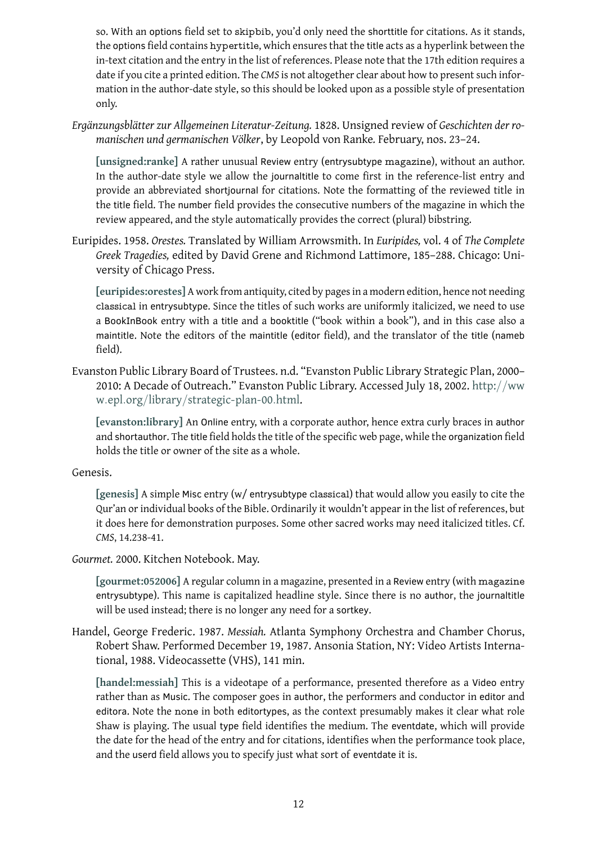- the options field contains hypertitle, which ensures that the title acts as a hyperlink between the title acts as a hyperlink between the title acts as a hyperlink between the title acts as a hyperlink between the title a in-text citation and the entry in the list of references. Please note that the 17th edition requires a date if you cite a printed edition. The *CMS* is not altogether clear about how to present such information in the author-date style, so this should be looked upon as a possible style of presentation only.
- *Ergänzungsblätter zur Allgemeinen Literatur-Zeitung.* 1828. Unsigned review of *Geschichten der romanischen und germanischen Völker*, by Leopold von Ranke*.* February, nos. 23–24.

<span id="page-11-2"></span>**[unsigned:ranke]** A rather unusual Review entry (entrysubtype magazine), without an author. In the author-date style we allow the journaltitle to come first in the reference-list entry and provide an abbreviated shortjournal for citations. Note the formatting of the reviewed title in the title field. The number field provides the consecutive numbers of the magazine in which the [review appeared, a](#page-24-1)nd the style automatically provides the correct (plural) bibstring.

Euripides. 1958. *Orestes.* Translated by William Arrowsmith. In *Euripides,* vol. 4 of *The Complete Greek Tragedies,* edited by David Grene and Richmond Lattimore, 185–288. Chicago: University of Chicago Press.

<span id="page-11-3"></span>**[euripides:orestes]** A work from antiquity, cited by pages in a modern edition, hence not needing classical in entrysubtype. Since the titles of such works are uniformly italicized, we need to use a BookInBook entry with a title and a booktitle ("book within a book"), and in this case also a maintitle[. Note the e](#page-21-6)ditors of the maintitle (editor field), and the translator of the title (nameb field).

Evanston Public Library Board of Trustees. n.d. "Evanston Public Library Strategic Plan, 2000– 2010: A Decade of Outreach." Evanston Public Library. Accessed July 18, 2002. http://ww w*.*epl*.*org/library/strategic-plan-00*.*html.

<span id="page-11-0"></span>**[evanston:library]** An Online entry, with a corporate author, hence extra curly braces in author and shortauthor. The title field holds the title of the specific web page, while the orga[nization](http://www.epl.org/library/strategic-plan-00.html) field [holds the title or owner of the site as a whole.](http://www.epl.org/library/strategic-plan-00.html)

### Gen[esis.](#page-21-7)

<span id="page-11-4"></span>**[genesis]** A simple Misc entry (w/ entrysubtype classical) that would allow you easily to cite the Qur'an or individual books of the Bible. Ordinarily it wouldn't appear in the list of references, but it does here for demonstration purposes. Some other sacred works may need italicized titles. Cf. *CMS*[, 14.23](#page-21-8)8-41.

*Gourmet.* 2000. Kitchen Notebook. May.

**[gourmet:052006]** A regular column in a magazine, presented in a Review entry (with magazine entrysubtype). This name is capitalized headline style. Since there is no author, the journaltitle will be used instead; there is no longer any need for a sortkey.

<span id="page-11-1"></span>Han[del, George Freder](#page-21-9)ic. 1987. *Messiah.* Atlanta Symphony Orchestra and Chamber Chorus, Robert Shaw. Performed December 19, 1987. Ansonia Station, NY: Video Artists International, 1988. Videocassette (VHS), 141 min.

<span id="page-11-5"></span>**[handel:messiah]** This is a videotape of a performance, presented therefore as a Video entry rather than as Music. The composer goes in author, the performers and conductor in editor and editora. Note the none in both editortypes, as the context presumably makes it clear what role [Shaw is playing. T](#page-22-1)he usual type field identifies the medium. The eventdate, which will provide the date for the head of the entry and for citations, identifies when the performance took place, and the userd field allows you to specify just what sort of eventdate it is.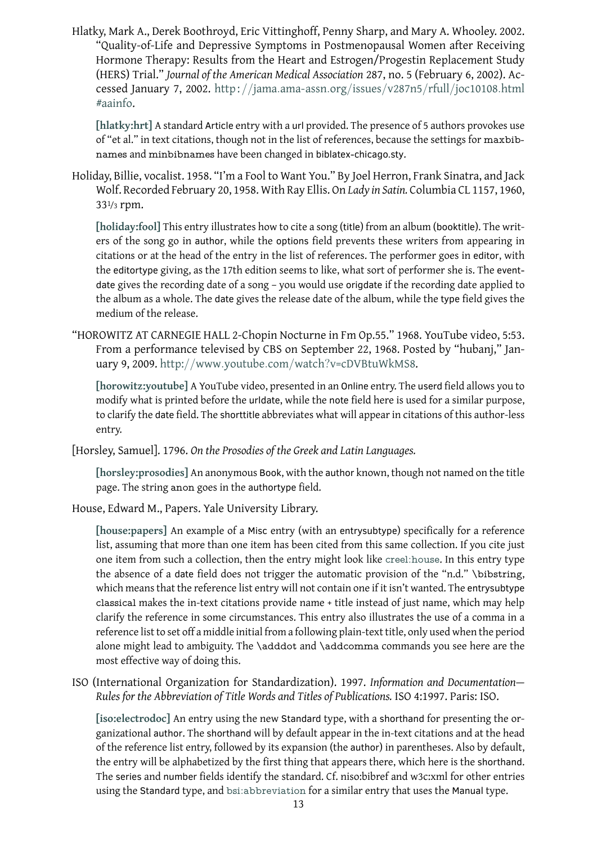<span id="page-12-3"></span>"Quality-of-Life and Depressive Symptoms in Postmenopausal Women after Receiving Hormone Therapy: Results from the Heart and Estrogen/Progestin Replacement Study (HERS) Trial." *Journal of the American Medical Association* 287, no. 5 (February 6, 2002). Accessed January 7, 2002. http : //jama*.*ama-assn*.*org/issues/v287n5/rfull/joc10108*.*html #aainfo.

**[hlatky:hrt]** A standard Article entry with a url provided. The presence of 5 authors provokes use of "et al." in text citations, [though not in the list of references, because the settings for](http://jama.ama-assn.org/issues/v287n5/rfull/joc10108.html#aainfo) maxbib[names](http://jama.ama-assn.org/issues/v287n5/rfull/joc10108.html#aainfo) and minbibnames have been changed in biblatex-chicago.sty.

Holi[day, Billie, vo](#page-22-2)calist. 1958. "I'm a Fool to Want You." By Joel Herron, Frank Sinatra, and Jack Wolf. Recorded February 20, 1958. With Ray Ellis. On *Lady in Satin.* Columbia CL 1157, 1960, 331/3 rpm.

<span id="page-12-5"></span>**[holiday:fool]** This entry illustrates how to cite a song (title) from an album (booktitle). The writers of the song go in author, while the options field prevents these writers from appearing in citations or at the head of the entry in the list of references. The performer goes in editor, with the [editortype](#page-22-3) giving, as the 17th edition seems to like, what sort of performer she is. The eventdate gives the recording date of a song – you would use origdate if the recording date applied to the album as a whole. The date gives the release date of the album, while the type field gives the medium of the release.

"HOROWITZ AT CARNEGIE HALL 2-Chopin Nocturne in Fm Op.55." 1968. YouTube video, 5:53. From a performance televised by CBS on September 22, 1968. Posted by "hubanj," January 9, 2009. http://www*.*youtube*.*com/watch?v=cDVBtuWkMS8.

<span id="page-12-4"></span>**[horowitz:youtube]** A YouTube video, presented in an Online entry. The userd field allows you to modify what is printed before the urldate, while the note field here is used for a similar purpose, to clarify the date field. The shorttitle [abbreviates what will appear in cita](http://www.youtube.com/watch?v=cDVBtuWkMS8)tions of this author-less [entry.](#page-22-4)

[Horsley, Samuel]. 1796. *On the Prosodies of the Greek and Latin Languages.*

**[horsley:prosodies]** An anonymous Book, with the author known, though not named on the title page. The string anon goes in the authortype field.

<span id="page-12-1"></span>House, Edward M., Papers. Yale University Library.

<span id="page-12-2"></span>**[\[house:papers\]](#page-22-5)** An example of a Misc entry (with an entrysubtype) specifically for a reference list, assuming that more than one item has been cited from this same collection. If you cite just one item from such a collection, then the entry might look like creel:house. In this entry type the absence of a date field does not trigger the automatic provision of the "n.d." \bibstring, [which means tha](#page-22-0)t the reference list entry will not contain one if it isn't wanted. The entrysubtype classical makes the in-text citations provide name + title instea[d of just nam](#page-20-7)e, which may help clarify the reference in some circumstances. This entry also illustrates the use of a comma in a reference list to set off a middle initial from a following plain-text title, only used when the period alone might lead to ambiguity. The \adddot and \addcomma commands you see here are the most effective way of doing this.

ISO (International Organization for Standardization). 1997. *Information and Documentation— Rules for the Abbreviation of Title Words and Titles of Publications.* ISO 4:1997. Paris: ISO.

<span id="page-12-0"></span>**[iso:electrodoc]** An entry using the new Standard type, with a shorthand for presenting the organizational author. The shorthand will by default appear in the in-text citations and at the head of the reference list entry, followed by its expansion (the author) in parentheses. Also by default, [the entry will be](#page-22-6) alphabetized by the first thing that appears there, which here is the shorthand. The series and number fields identify the standard. Cf. niso:bibref and w3c:xml for other entries using the Standard type, and bsi:abbreviation for a similar entry that uses the Manual type.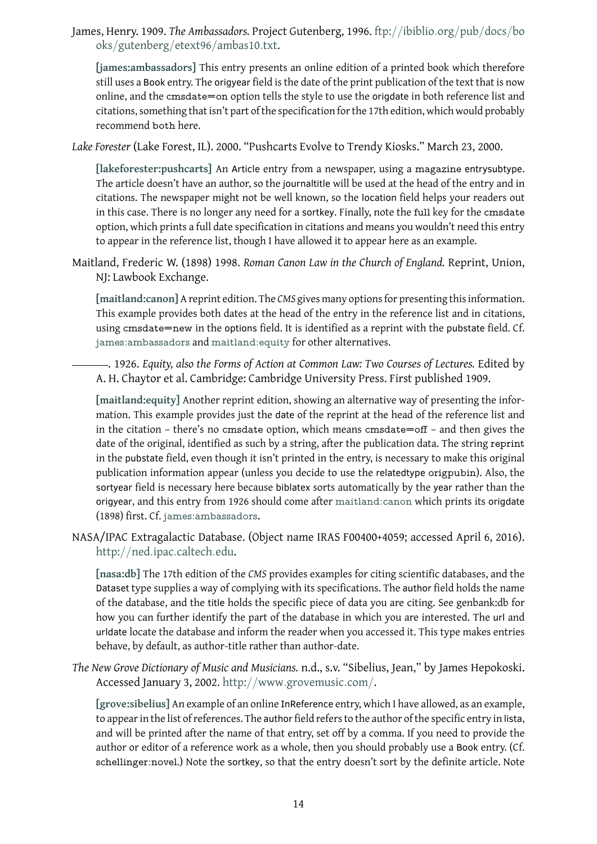oks/gutenberg/etext96/ambas10*.*txt.

<span id="page-13-4"></span>**[james:ambassadors]** This entry presents an online edition of a printed book which therefore still uses a Book entry. The origyear field is the date of the print [publication of the text that is now](ftp://ibiblio.org/pub/docs/books/gutenberg/etext96/ambas10.txt) [online, and the](ftp://ibiblio.org/pub/docs/books/gutenberg/etext96/ambas10.txt) cmsdate=on option tells the style to use the origdate in both reference list and [citations, something th](#page-22-7)at isn't part of the specification for the 17th edition, which would probably recommend both here.

*Lake Forester* (Lake Forest, IL). 2000. "Pushcarts Evolve to Trendy Kiosks." March 23, 2000.

<span id="page-13-1"></span>**[lakeforester:pushcarts]** An Article entry from a newspaper, using a magazine entrysubtype. The article doesn't have an author, so the journaltitle will be used at the head of the entry and in citations. The newspaper might not be well known, so the location field helps your readers out [in this case. There is no lon](#page-23-1)ger any need for a sortkey. Finally, note the full key for the cmsdate option, which prints a full date specification in citations and means you wouldn't need this entry to appear in the reference list, though I have allowed it to appear here as an example.

Maitland, Frederic W. (1898) 1998. *Roman Canon Law in the Church of England.* Reprint, Union, NJ: Lawbook Exchange.

<span id="page-13-0"></span>**[maitland:canon]** A reprint edition. The *CMS* gives many options for presenting this information. This example provides both dates at the head of the entry in the reference list and in citations, using cmsdate=new in the options field. It is identified as a reprint with the pubstate field. Cf. [james:ambassado](#page-23-2)rs and maitland:equity for other alternatives.

. 1926. *Equity, also the Forms of Action at Common Law: Two Courses of Lectures.* Edited by A. H. Chaytor et al. Cambridge: Cambridge University Press. First published 1909.

<span id="page-13-5"></span>**[\[maitland:equity\]](#page-22-7)** Anoth[er reprint edition,](#page-23-3) showing an alternative way of presenting the information. This example provides just the date of the reprint at the head of the reference list and in the citation – there's no cmsdate option, which means cmsdate=off – and then gives the [date of the original](#page-23-3), identified as such by a string, after the publication data. The string reprint in the pubstate field, even though it isn't printed in the entry, is necessary to make this original publication information appear (unless you decide to use the relatedtype origpubin). Also, the sortyear field is necessary here because biblatex sorts automatically by the year rather than the origyear, and this entry from 1926 should come after maitland:canon which prints its origdate (1898) first. Cf. james:ambassadors.

NASA/IPAC Extragalactic Database. (Object name IRAS F00400+4059; accessed April 6, 2016). http://ned*.*ipac*.*caltech*.*edu.

<span id="page-13-2"></span>**[nasa:db]** The [17th edition of the](#page-22-7) *CMS* provides examples for citing scientific databases, and the Dataset type supplies a way of complying with its specifications. The author field holds the name [of the database, and the](http://ned.ipac.caltech.edu) title holds the specific piece of data you are citing. See genbank:db for [how you c](#page-23-4)an further identify the part of the database in which you are interested. The url and urldate locate the database and inform the reader when you accessed it. This type makes entries behave, by default, as author-title rather than author-date.

*The New Grove Dictionary of Music and Musicians.* n.d., s.v. "Sibelius, Jean," by James Hepokoski. Accessed January 3, 2002. http://www*.*grovemusic*.*com/.

<span id="page-13-3"></span>**[grove:sibelius]** An example of an online InReference entry, which I have allowed, as an example, to appear in the list of references. The author field refers to the author of the specific entry in lista, and will be printed after th[e name of that entry, set off by a c](http://www.grovemusic.com/)omma. If you need to provide the [author or editor](#page-22-8) of a reference work as a whole, then you should probably use a Book entry. (Cf. schellinger:novel.) Note the sortkey, so that the entry doesn't sort by the definite article. Note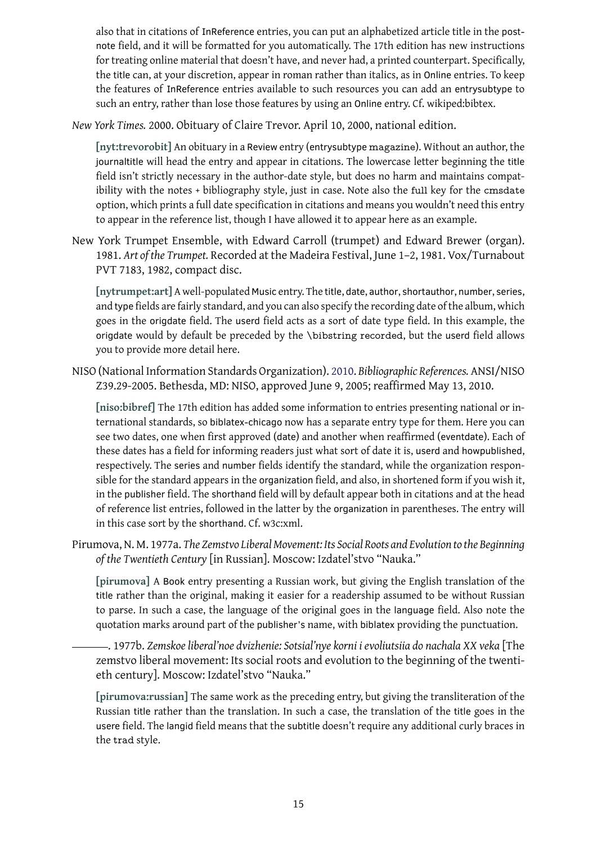note field, and it will be formatted for  $\mathbf{r}$ for treating online material that doesn't have, and never had, a printed counterpart. Specifically, the title can, at your discretion, appear in roman rather than italics, as in Online entries. To keep the features of InReference entries available to such resources you can add an entrysubtype to such an entry, rather than lose those features by using an Online entry. Cf. wikiped:bibtex.

*New York Times.* 2000. Obituary of Claire Trevor. April 10, 2000, national edition.

<span id="page-14-2"></span>**[nyt:trevorobit]** An obituary in a Review entry (entrysubtype magazine). Without an author, the journaltitle will head the entry and appear in citations. The lowercase letter beginning the title field isn't strictly necessary in the author-date style, but does no harm and maintains compat[ibility with the n](#page-23-5)otes + bibliography style, just in case. Note also the full key for the cmsdate option, which prints a full date specification in citations and means you wouldn't need this entry to appear in the reference list, though I have allowed it to appear here as an example.

New York Trumpet Ensemble, with Edward Carroll (trumpet) and Edward Brewer (organ). 1981. *Art of the Trumpet.* Recorded at the Madeira Festival, June 1–2, 1981. Vox/Turnabout PVT 7183, 1982, compact disc.

<span id="page-14-3"></span>**[nytrumpet:art]** A well-populated Music entry. The title, date, author, shortauthor, number, series, and type fields are fairly standard, and you can also specify the recording date of the album, which goes in the origdate field. The userd field acts as a sort of date type field. In this example, the origdate would by default be preceded by the \bibstring recorded, but the userd field allows [you to provide mo](#page-23-6)re detail here.

NISO (National Information Standards Organization). 2010. *Bibliographic References.* ANSI/NISO Z39.29-2005. Bethesda, MD: NISO, approved June 9, 2005; reaffirmed May 13, 2010.

<span id="page-14-4"></span>**[niso:bibref]** The 17th edition has added some information to entries presenting national or international standards, so biblatex-chicago now has a [separ](#page-14-4)ate entry type for them. Here you can see two dates, one when first approved (date) and another when reaffirmed (eventdate). Each of [these dates ha](#page-23-7)s a field for informing readers just what sort of date it is, userd and howpublished, respectively. The series and number fields identify the standard, while the organization responsible for the standard appears in the organization field, and also, in shortened form if you wish it, in the publisher field. The shorthand field will by default appear both in citations and at the head of reference list entries, followed in the latter by the organization in parentheses. The entry will in this case sort by the shorthand. Cf. w3c:xml.

Pirumova, N. M. 1977a. *The Zemstvo Liberal Movement: Its Social Roots and Evolution to the Beginning of the Twentieth Century* [in Russian]. Moscow: Izdatel'stvo "Nauka."

<span id="page-14-0"></span>**[pirumova]** A Book entry presenting a Russian work, but giving the English translation of the title rather than the original, making it easier for a readership assumed to be without Russian to parse. In such a case, the language of the original goes in the language field. Also note the [quotation m](#page-23-8)arks around part of the publisher's name, with biblatex providing the punctuation.

. 1977b. *Zemskoe liberal'noe dvizhenie: Sotsial'nye korni i evoliutsiia do nachala XX veka* [The zemstvo liberal movement: Its social roots and evolution to the beginning of the twentieth century]. Moscow: Izdatel'stvo "Nauka."

<span id="page-14-1"></span>**[pirumova:russian]** The same work as the preceding entry, but giving the transliteration of the Russian title rather than the translation. In such a case, the translation of the title goes in the usere field. The langid field means that the subtitle doesn't require any additional curly braces in the trad [style.](#page-23-9)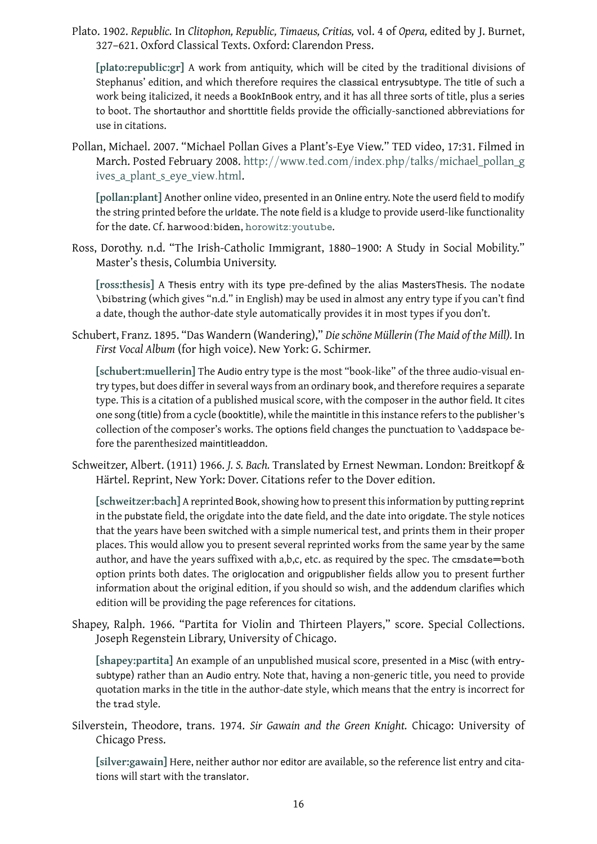<span id="page-15-3"></span>**[plato:republic:gr]** A work from antiquity, which will be cited by the traditional divisions of Stephanus' edition, and which therefore requires the classical entrysubtype. The title of such a work being italicized, it needs a BookInBook entry, and it has all three sorts of title, plus a series to boot. The shortauthor and shorttitle fields provide the officially-sanctioned abbreviations for [use in citations.](#page-23-10)

Pollan, Michael. 2007. "Michael Pollan Gives a Plant's-Eye View." TED video, 17:31. Filmed in March. Posted February 2008. http://www*.*ted*.*com/index*.*php/talks/michael\_pollan\_g ives\_a\_plant\_s\_eye\_view*.*html.

<span id="page-15-6"></span>**[pollan:plant]** Another online video, presented in an Online entry. Note the userd field to modify the string printed before the urldate. The note [field is a kludge to provide](http://www.ted.com/index.php/talks/michael_pollan_gives_a_plant_s_eye_view.html) userd-like functionality for the date. Cf. [harwood:biden](http://www.ted.com/index.php/talks/michael_pollan_gives_a_plant_s_eye_view.html), horowitz:youtube.

Ross[, Dorothy. n.d](#page-24-2). "The Irish-Catholic Immigrant, 1880–1900: A Study in Social Mobility." Master's thesis, Columbia University.

<span id="page-15-1"></span>**[ross:thesis]** A Thesis entry with its type [pre-define](#page-22-4)d by the alias MastersThesis. The nodate \bibstring (which gives "n.d." in English) may be used in almost any entry type if you can't find a date, though the author-date style automatically provides it in most types if you don't.

Schu[bert, Franz. 1](#page-24-3)895. "Das Wandern (Wandering)," *Die schöne Müllerin (The Maid of the Mill).* In *First Vocal Album* (for high voice). New York: G. Schirmer.

<span id="page-15-4"></span>**[schubert:muellerin]** The Audio entry type is the most "book-like" of the three audio-visual entry types, but does differ in several ways from an ordinary book, and therefore requires a separate type. This is a citation of a published musical score, with the composer in the author field. It cites one song (title) from a cycle (booktitle), while the maintitle in this instance refers to the publisher's [collection of the comp](#page-24-4)oser's works. The options field changes the punctuation to \addspace before the parenthesized maintitleaddon.

Schweitzer, Albert. (1911) 1966. *J. S. Bach.* Translated by Ernest Newman. London: Breitkopf & Härtel. Reprint, New York: Dover. Citations refer to the Dover edition.

<span id="page-15-2"></span>**[schweitzer:bach]** A reprinted Book, showing how to present this information by putting reprint in the pubstate field, the origdate into the date field, and the date into origdate. The style notices that the years have been switched with a simple numerical test, and prints them in their proper places. This would allow you to present several reprinted works from the same year by the same [author, and have th](#page-24-5)e years suffixed with  $a,b,c$ , etc. as required by the spec. The cmsdate=both option prints both dates. The origlocation and origpublisher fields allow you to present further information about the original edition, if you should so wish, and the addendum clarifies which edition will be providing the page references for citations.

Shapey, Ralph. 1966. "Partita for Violin and Thirteen Players," score. Special Collections. Joseph Regenstein Library, University of Chicago.

<span id="page-15-5"></span>**[shapey:partita]** An example of an unpublished musical score, presented in a Misc (with entrysubtype) rather than an Audio entry. Note that, having a non-generic title, you need to provide quotation marks in the title in the author-date style, which means that the entry is incorrect for the trad [style.](#page-24-6)

Silverstein, Theodore, trans. 1974. *Sir Gawain and the Green Knight.* Chicago: University of Chicago Press.

<span id="page-15-0"></span>**[silver:gawain]** Here, neither author nor editor are available, so the reference list entry and citations will start with the translator.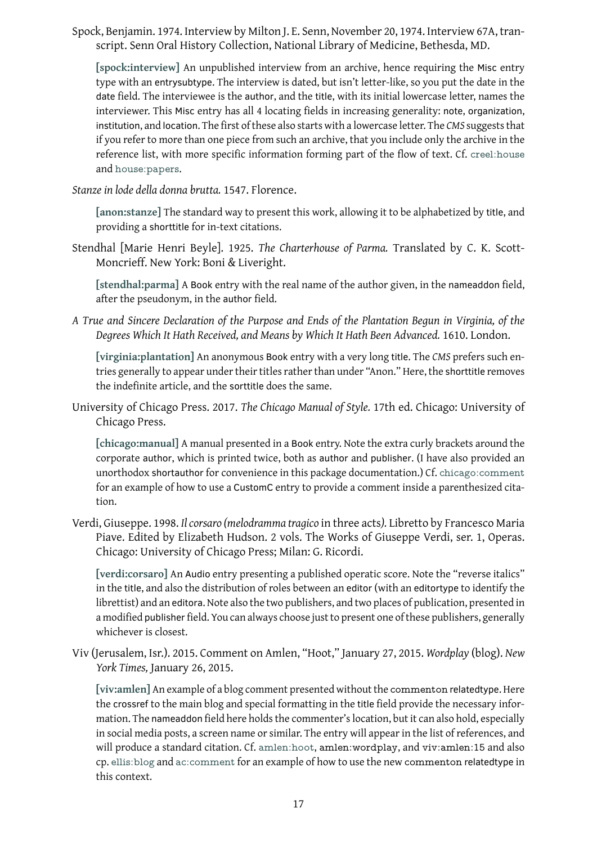script. Senn Oral History Collection, National Library of Medicine, Bethesda, MD.

<span id="page-16-3"></span>**[spock:interview]** An unpublished interview from an archive, hence requiring the Misc entry type with an entrysubtype. The interview is dated, but isn't letter-like, so you put the date in the date field. The interviewee is the author, and the title, with its initial lowercase letter, names the [interviewer. This](#page-24-0) Misc entry has all 4 locating fields in increasing generality: note, organization, institution, and location. The first of these also starts with a lowercase letter. The *CMS* suggests that if you refer to more than one piece from such an archive, that you include only the archive in the reference list, with more specific information forming part of the flow of text. Cf. creel:house and house:papers.

*Stanze in lode della donna brutta.* 1547. Florence.

**[an[on:stanze\]](#page-22-0)** The standard way to present this work, allowing it to be alphabetized by title[, and](#page-20-7) providing a shorttitle for in-text citations.

<span id="page-16-1"></span>Stendhal [Marie Henri Beyle]. 1925. *The Charterhouse of Parma.* Translated by C. K. Scott-[Moncrieff. Ne](#page-18-7)w York: Boni & Liveright.

**[stendhal:parma]** A Book entry with the real name of the author given, in the nameaddon field, after the pseudonym, in the author field.

<span id="page-16-5"></span>*A True and Sincere Declaration of the Purpose and Ends of the Plantation Begun in Virginia, of the [Degrees Which It H](#page-24-7)ath Received, and Means by Which It Hath Been Advanced.* 1610. London.

<span id="page-16-2"></span>**[virginia:plantation]** An anonymous Book entry with a very long title. The *CMS* prefers such entries generally to appear under their titles rather than under "Anon." Here, the shorttitle removes the indefinite article, and the sorttitle does the same.

Univ[ersity of Chicago Pre](#page-25-1)ss. 2017. *The Chicago Manual of Style.* 17th ed. Chicago: University of Chicago Press.

<span id="page-16-0"></span>**[chicago:manual]** A manual presented in a Book entry. Note the extra curly brackets around the corporate author, which is printed twice, both as author and publisher. (I have also provided an unorthodox shortauthor for convenience in this package documentation.) Cf. chicago:comment [for an example of h](#page-19-10)ow to use a CustomC entry to provide a comment inside a parenthesized citation.

Verdi, Giuseppe. 1998. *Il corsaro (melodramma tragico* in three acts*).* Libretto b[y Francesco Maria](#page-19-11) Piave. Edited by Elizabeth Hudson. 2 vols. The Works of Giuseppe Verdi, ser. 1, Operas. Chicago: University of Chicago Press; Milan: G. Ricordi.

<span id="page-16-6"></span>**[verdi:corsaro]** An Audio entry presenting a published operatic score. Note the "reverse italics" in the title, and also the distribution of roles between an editor (with an editortype to identify the librettist) and an editora. Note also the two publishers, and two places of publication, presented in a modified publisher field. You can always choose just to present one of these publishers, generally [whichever is clo](#page-24-8)sest.

Viv (Jerusalem, Isr.). 2015. Comment on Amlen, "Hoot," January 27, 2015. *Wordplay* (blog). *New York Times,* January 26, 2015.

<span id="page-16-4"></span>**[viv:amlen]** An example of a blog comment presented without the commenton relatedtype. Here the crossref to the main blog and special formatting in the title field provide the necessary information. The nameaddon field here holds the commenter's location, but it can also hold, especially in social media posts, a screen name or similar. The entry will appear in the list of references, and [will produce](#page-25-0) a standard citation. Cf. amlen:hoot, amlen:wordplay, and viv:amlen:15 and also cp. ellis:blog and ac:comment for an example of how to use the new commenton relatedtype in this context.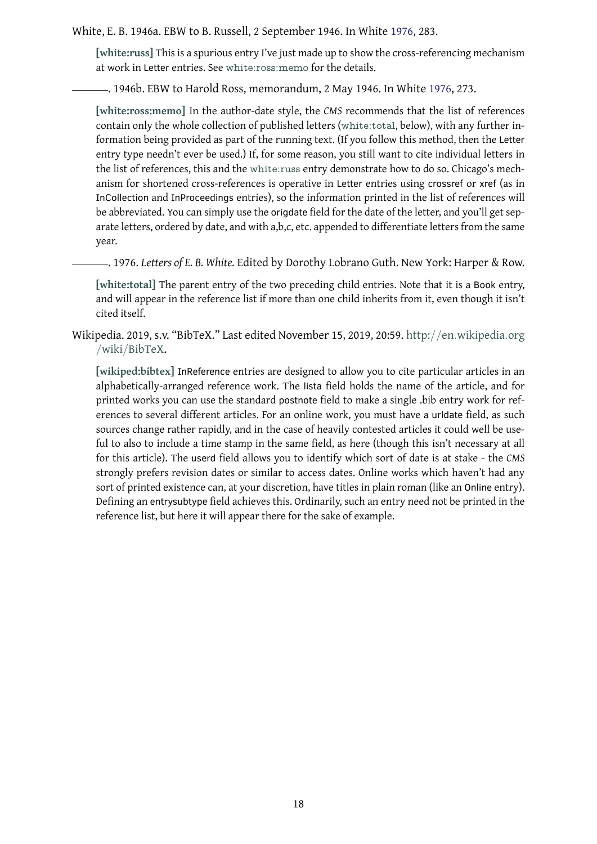<span id="page-17-1"></span>**[white:russ]** This is a spurious entry I've just made up to show the cross-referencing mechanism at work in Letter entries. See white:ross:memo for the details.

. 1946b. EBW to Harold Ross, memorandum, 2 May 1946. I[n Wh](#page-17-2)ite 1976, 273.

<span id="page-17-3"></span>**[\[white:ross:m](#page-25-2)emo]** In the [author-date style, t](#page-25-3)he *CMS* recommends that the list of references contain only the whole collection of published letters (white:total, below), with any further information being provided as part of the running text. (If you follow this m[ethod](#page-17-2), then the Letter entry type needn't ever be used.) If, for some reason, you still want to cite individual letters in [the list of references](#page-25-3), this and the white:russ entry de[monstrate h](#page-25-4)ow to do so. Chicago's mechanism for shortened cross-references is operative in Letter entries using crossref or xref (as in InCollection and InProceedings entries), so the information printed in the list of references will be abbreviated. You can simply use the origdate field for the date of the letter, and you'll get separate letters, ordered by date, and [with a,b,c, e](#page-25-2)tc. appended to differentiate letters from the same year.

. 1976. *Letters of E. B. White.* Edited by Dorothy Lobrano Guth. New York: Harper & Row.

[white:total] The parent entry of the two preceding child entries. Note that it is a Book entry, and will appear in the reference list if more than one child inherits from it, even though it isn't cited itself.

<span id="page-17-2"></span>Wiki[pedia. 2019, s](#page-25-4).v. "BibTeX." Last edited November 15, 2019, 20:59. http://en*.*wikipedia*.*org /wiki/BibTeX.

<span id="page-17-0"></span>**[wikiped:bibtex]** InReference entries are designed to allow you to cite particular articles in an alphabetically-arranged reference work. The lista field holds the n[ame of the article, and for](http://en.wikipedia.org/wiki/BibTeX) [printed works y](http://en.wikipedia.org/wiki/BibTeX)ou can use the standard postnote field to make a single .bib entry work for references to several different articles. For an online work, you must have a urldate field, as such [sources change ra](#page-25-5)ther rapidly, and in the case of heavily contested articles it could well be useful to also to include a time stamp in the same field, as here (though this isn't necessary at all for this article). The userd field allows you to identify which sort of date is at stake - the *CMS* strongly prefers revision dates or similar to access dates. Online works which haven't had any sort of printed existence can, at your discretion, have titles in plain roman (like an Online entry). Defining an entrysubtype field achieves this. Ordinarily, such an entry need not be printed in the reference list, but here it will appear there for the sake of example.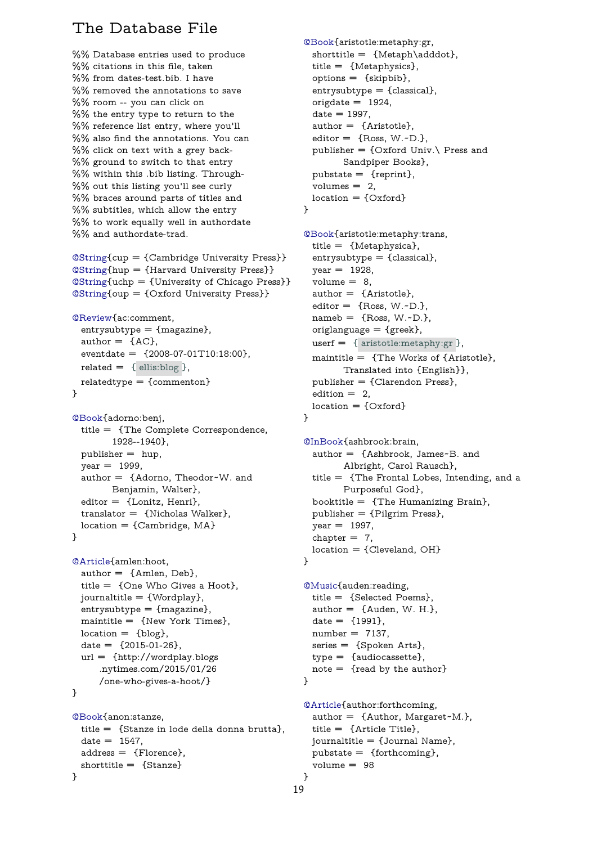```
%% Database entries used to produce
%% citations in this file, taken
%% from dates-test.bib. I have
%% removed the annotations to save
%% room -- you can click on
%% the entry type to return to the
%% reference list entry, where you'll
%% also find the annotations. You can
%% click on text with a grey back-
%% ground to switch to that entry
%% within this .bib listing. Through-
%% out this listing you'll see curly
%% braces around parts of titles and
%% subtitles, which allow the entry
%% to work equally well in authordate
%% and authordate-trad.
```
@String{cup = {Cambridge University Press}} @String{hup = {Harvard University Press}} @String{uchp = {University of Chicago Press}} @String{oup = {Oxford University Press}}

```
@Review{ac:comment,
```

```
entrysubtype = {mag}azine},
author = \{AC\},\eventdate = {2008-07-01T10:18:00},
related = \{ ellis:blog \},relatedtype = {commenton}
```

```
}
```

```
@Book{adorno:benj,
 title = {The Complete Correspondence,
       1928--1940},
 public = hup,year = 1999,author = {Adorno, Theodor~W. and
       Benjamin, Walter},
 editor = {Lonitz, Henri},
 translator = {Nicholas Walker},
 location = {Cambridge, MA}}
```

```
@Article{amlen:hoot,
 author = {Amlen, Deb},
 title = {One Who Gives a Hoot},
 journaltitle = {Wordplay},
 entrysubtype = {mag}azine},
 maintitle = \{New York Times\},\location = \{blog\},date = \{2015 - 01 - 26\},\url = {http://wordplay.blogs
     .nytimes.com/2015/01/26
     /one-who-gives-a-hoot/}
}
```

```
@Book{anon:stanze,
 title = {Stanze in lode della donna brutta},
 date = 1547,address = {Florence},
 shorttitle = {Stanze}
}
```
<span id="page-18-3"></span>shorttitle = {Metaph\adddot}, title = {Metaphysics}, options = {skipbib},  $entrysubtype = {classical},$  $entrysubtype = {classical},$  $origdate = 1924,$  $date = 1997,$ author = {Aristotle}, editor  $=$  {Ross, W. $\neg$ D.}, publisher =  $\{Oxford Univ.\}$  Press and Sandpiper Books},  $pubits = {reprint},$ volumes  $= 2$ ,  $location = \{Oxford\}$ }

```
@Book{aristotle:metaphy:trans,
  title = {Metaphysica},
  entrysubtype = {classical},
  year = 1928,volume = 8,
  author = {Aristotle},
  editor = {Ross, W.\negD.},
  nameb = {Ross, W.-D.},originaloriglanguage = {greek},
  userf = \{ aristotle: metaphy: gr \},maintitle = {The Works of {Aristotle},
        Translated into {English}},
  publisher = {Clarendon Press},
  edition = 2,
 location = \{Oxford\}}
```

```
@InBook{ashbrook:brain,
 author = {Ashbrook, James~B. and
       Albright, Carol Rausch},
 title = {The Frontal Lobes, Intending, and a
        Purposeful God},
 booktitle = {The Humanizing Brain},
 publisher = {Pilgrim Press},
 year = 1997,chapter = 7,
 location = {Cleveland, OH}
```
#### }

```
@Music{auden:reading,
 title = {Selected Poems},
 author = {Auden, W. H.},
 date = {1991},number = 7137,series = {Spoken Arts},
 type = {audiocassette},
 note = {read by the author}
}
```

```
@Article{author:forthcoming,
  author = {Author, Margaret~M.},
  title = {Article Title},
 journaltitle = {Journal Name},
 pubstate = {forthcoming},
  volume = 98
}
```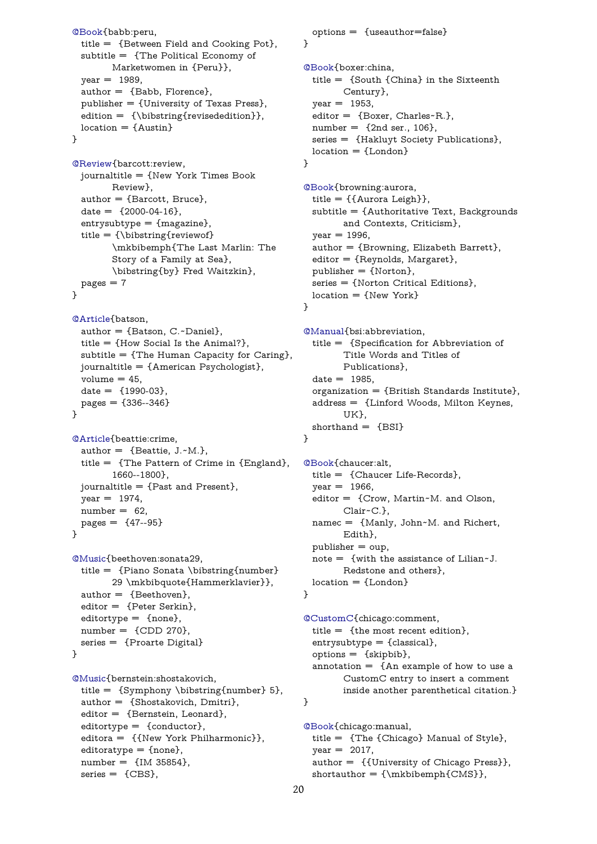```
subtitle = {The Political Economy of
       Marketwomen in {Peru}},
 year = 1989,author = {Babb, Florence},
 publisher = {University of Texas Press},
 edition = {\b{revisededition}},
 location = \{Austin\}}
@Review{barcott:review,
 journaltitle = {New York Times Book
        Review},
 author = {Barcott, Bruce},
```

```
date = \{2000 - 04 - 16\},\entrysubtype = {mag}azine},
title = {\bibstring{reviewof}
      \mkbibemph{The Last Marlin: The
      Story of a Family at Sea},
      \bibstring{by} Fred Waitzkin},
pages = 7
```

```
}
```

```
@Article{batson,
 author = {Batson, C.-Daniel}.title = {How Social Is the Animal?},
 subtitle = {The Human Capacity for Caring},
 journaltitle = {American Psychologist},
 volume = 45,
 date = {1990-03},
 pages = {336--346}}
```

```
@Article{beattie:crime,
 author = {Beattie, J.-M.\},
 title = {The Pattern of Crime in {England},
        1660--1800},
 journaltitle = {Past and Present},
 year = 1974,number = 62,
 pages = \{47--95\}}
```

```
@Music{beethoven:sonata29,
 title = {Piano Sonata \bibstring{number}
        29 \mkbibquote{Hammerklavier}},
 author = {Beethoven},
 editor = {Peter Serkin},
 editortype = {none},number = \{CDD 270\},\series = {Proarte Digital}
}
```

```
@Music{bernstein:shostakovich,
 title = {Symphony \bibstring{number} 5},
 author = {Shostakovich, Dmitri},
 editor = {Bernstein, Leonard},
 editortype = {conductor},editora = {{New York Philharmonic}},
 editorotype = {none},number = {IM 35854},
 series = \{CBS\},\
```

```
@Book{boxer:china,
 title = {South {China} in the Sixteenth
        Century},
 year = 1953,editor = {Boxer, Charles~R.},
 number = \{2nd ser., 106\},\series = {Hakluyt Society Publications},
 location = \{London\}
```

```
}
```

```
@Book{browning:aurora,
  title = {{Aurora Leigh}},
  subtitle = {Authoritative Text, Backgrounds
        and Contexts, Criticism},
  year = 1996,author = {Browning, Elizabeth Barrett},
  editor = {Reynolds, Margaret},
  publisher = {Norton},
  series = {Norton Critical Editions},
 location = {New York}
}
```

```
@Manual{bsi:abbreviation,
 title = {Specification for Abbreviation of
        Title Words and Titles of
        Publications},
 date = 1985,organization = {British Standards Institute},
 address = {Linford Woods, Milton Keynes,
        UK},
 shorthand = {BSI}
```

```
}
```

```
@Book{chaucer:alt,
  title = {Chaucer Life-Records},
  year = 1966,editor = {Crow, Martin~M. and Olson,
        Clair~C.},
 namec = {Manly, John~M. and Richert,
        Edith},
 public = <math>oup</math>,note = {with the assistance of Lilian~J.
        Redstone and others},
 location = \{London\}
```

```
}
```
<span id="page-19-11"></span>@CustomC{chicago:comment, title = {the most recent edition},  $entry$ subtype = {classical}, options = {skipbib}, [annotatio](#page-16-0)n  $=$  {An example of how to use a CustomC entry to insert a comment inside another parenthetical citation.} }

<span id="page-19-10"></span>@Book{chicago:manual, title = {The {Chicago} Manual of Style},  $year = 2017,$ author = {{University of Chicago Press}},  $shortauthor = {\mathbf{CMS}}$  $shortauthor = {\mathbf{CMS}}$ ,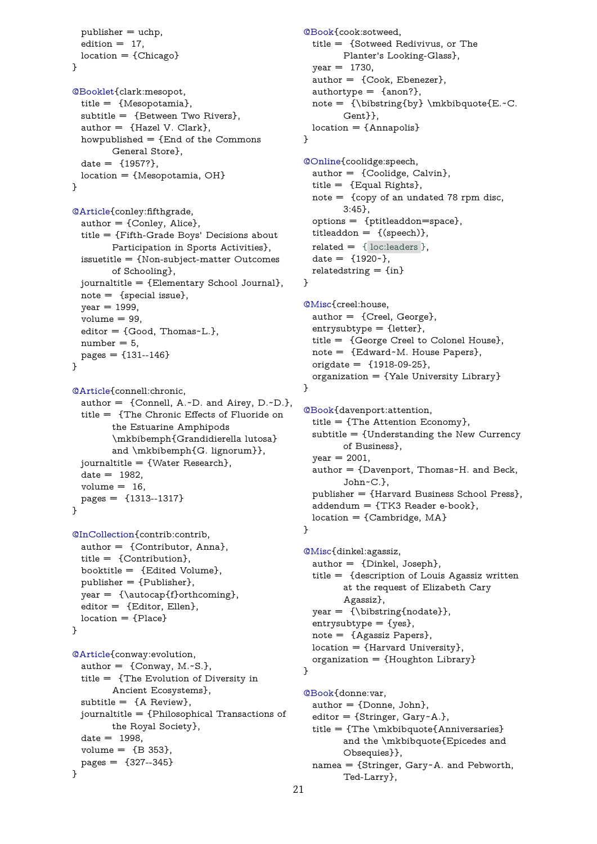```
location = {Chicago}}
```

```
@Booklet{clark:mesopot,
 title = {Mesopotamia},
 subtitle = {Between Two Rivers},
 author = {Hazel V. Clark},
 howpublished = {End of the Commons
       General Store},
 date = {1957?},
 location ={Mesopotamia, OH}
}
```
<span id="page-20-2"></span>@Article{conley:fifthgrade,  $author = {Conley, Alice},$ title = {Fifth-Grade Boys' Decisions about Participation in Sports Activities}, [issuetit](#page-8-1)le = {Non-subject-matter Outcomes of Schooling}, journaltitle = {Elementary School Journal},  $note = {special issue},$  $year = 1999,$  $volume = 99$ , editor = {Good, Thomas~L.},  $number = 5$ ,  $pages = \{131 - 146\}$ 

```
}
```

```
@Article{connell:chronic,
 author = {Connell, A.~D. and Airey, D.~D.},
 title = {The Chronic Effects of Fluoride on
        the Estuarine Amphipods
        \mkbibemph{Grandidierella lutosa}
        and \mkbibemph{G. lignorum}},
 journaltitle = {Water Research},
 date = 1982,volume = 16,
 pages = {1313--1317}
```

```
}
```

```
@InCollection{contrib:contrib,
 author = {Contributor, Anna},
 title = {Contribution},
 booktitle = {Edited Volume},
 publisher = {Publisher},
 year = {\autocap{f}orthcoming},
 editor = {Editor, Ellen},
 location = {Place}}
```

```
@Article{conway:evolution,
  author = {Conway, M.\simS.},
 title = {The Evolution of Diversity in
         Ancient Ecosystems},
 subtitle = \{A \text{ Review}\},\journaltitle = {Philosophical Transactions of
        the Royal Society},
 date = 1998,
 volume = {B 353},
 pages = \{327 - 345\}}
```

```
Planter's Looking-Glass},
 year = 1730,author = {Cook, Ebenezer},
 authortype = {anon?},
 note = {\b{by}} \mkb{b}{q}Gent}},
 location = \{Annapolis\}}
@Online{coolidge:speech,
```

```
author = {Coolidge, Calvin},
  title = {Equal Rights},
  note = {copy of an undated 78 rpm disc,
         3:45},
  options = {ptitleaddon=space},
  titleaddon = \{(\text{speed})\},\related = \{ loc: leaders \},date = \{1920 - \},
  relatedstring = {in}}
```

```
@Misc{creel:house,
 author = {Creel, George},entrysubtype = {letter},
 title = {George Creel to Colonel House},
 note = {Edward~M. House Papers},
 origdate = {1918-09-25},organization = {Yale University Library}
}
```

```
@Book{davenport:attention,
 title = {The Attention Economy},
 subtitle = {Understanding the New Currency
       of Business},
 year = 2001,author = {Davenport, Thomas~H. and Beck,
        John~C.},
 publisher = {Harvard Business School Press},
 addendum = \{TK3 Reader e-book\},location = {Cambridge, MA}
```

```
}
```

```
@Misc{dinkel:agassiz,
  author = {Dinkel, Joseph},
 title = {description of Louis Agassiz written
        at the request of Elizabeth Cary
        Agassiz},
  year = {\bibstring{nodate}},
  entrysubtype = {yes},
 note = {Agassiz Papers},
 location = {Harvard University},
  organization = {Houghton Library}
}
```
<span id="page-20-10"></span>@Book{donne:var,  $author = {Donne, John},$ editor = {Stringer, Gary~A.}, title = {The \mkbibquote{Anniversaries} and the \mkbibquote{Epicedes and Obsequies}}, namea = {Stringer, Gary~A. and Pebworth, Ted-Larry},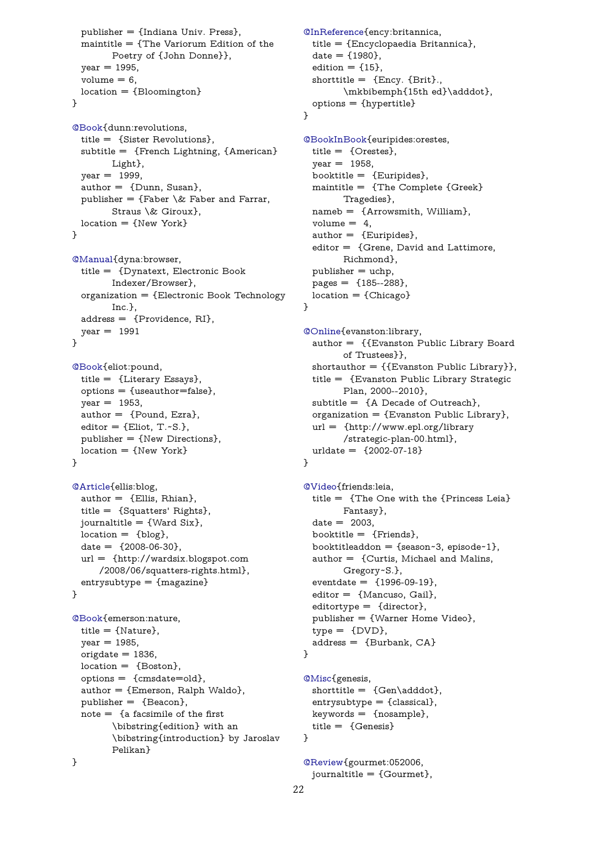```
Poetry of {John Donne}},
 year = 1995,volume = 6,
 location = {Bloomington}
}
```

```
@Book{dunn:revolutions,
 title = {Sister Revolutions},
 subtitle = {French Lightning, {American}
        Light},
 year = 1999,author = {Dunn, Susan},
 publisher = {Faber \& Faber and Farrar},
        Straus \& Giroux},
 location = \{New York\}}
```

```
@Manual{dyna:browser,
 title = {Dynatext, Electronic Book
        Indexer/Browser},
 organization = {Electronic Book Technology
        Inc.},
 address = {Providence, RI},
 year = 1991}
```

```
@Book{eliot:pound,
 title = {Literary Essays},
 options = {useauthor=false},
 year = 1953,author = {Pound, Ezra},
 editor = {Eliot, T.~S.},
 publisher = {New Directions},
 location = \{New York\}}
```

```
@Article{ellis:blog,
 author = {Ellis, Rhian},
 title = {Squatters' Rights},
 journaltitle = {Ward Six},
 location = \{blog\},\date = {2008-06-30},
 url = {http://wardsix.blogspot.com
     /2008/06/squatters-rights.html},
 entrysubtype = {magazine}
}
```

```
@Book{emerson:nature,
 title = {Nature},
 year = 1985,origdate = 1836,location = {Boston},
 options = {cmsdate=old},
 author = {Emerson, Ralph Waldo},
 publisher = {Beacon},
 note = \{a facsimile of the first\bibstring{edition} with an
        \bibstring{introduction} by Jaroslav
        Pelikan}
}
```
 $date = {1980},$ edition  $= \{15\},\$ shorttitle  $=$  {Ency. {Brit}., \mkbibemph{15th ed}\adddot}, options = {hypertitle}

```
}
```

```
@BookInBook{euripides:orestes,
 title = {Orestes},
 year = 1958,booktitle = {Euripides},
 maintitle = {The Complete {Greek}
        Tragedies},
 nameb = {Arrowsmith, William},
 volume = 4,
 author = {Euripides},
 editor = {Grene, David and Lattimore,
       Richmond},
 public = uchp,pages = {185--288},
 location = {Chicago}}
```

```
@Online{evanston:library,
 author = {{Evanston Public Library Board
        of Trustees}},
 shortauthor = {{Evanston Public Library}},
 title = {Evanston Public Library Strategic
        Plan, 2000--2010},
 subtitle = {A Decade of Outreach},
 organization = {Exanston \n}(B)url = {http://www.epl.org/library
        /strategic-plan-00.html},
 urldate = {2002-07-18}
```

```
}
```

```
@Video{friends:leia,
  title = {The One with the {Princess Leia}
        Fantasy},
  date = 2003,booktitle = {Friends},
  booktitleaddon = {season~3, episode~1},author = {Curtis, Michael and Malins,
        Gregory~S.},
  eventdate = \{1996-09-19\},editor = {Mancuso, Gail},
  editortype = {director},
 publisher = {Warner Home Video},
 type = {DVD},address = {Burbank, CA}}
```
@Misc{genesis,  $shorttitle = {Gen\addot}$ ,  $entry$ subtype = {classical},  $keywords = \{nosample\},\$ [title](#page-11-4) = {Genesis} }

```
@Review{gourmet:052006,
 journaltitle = {Gourmet},
```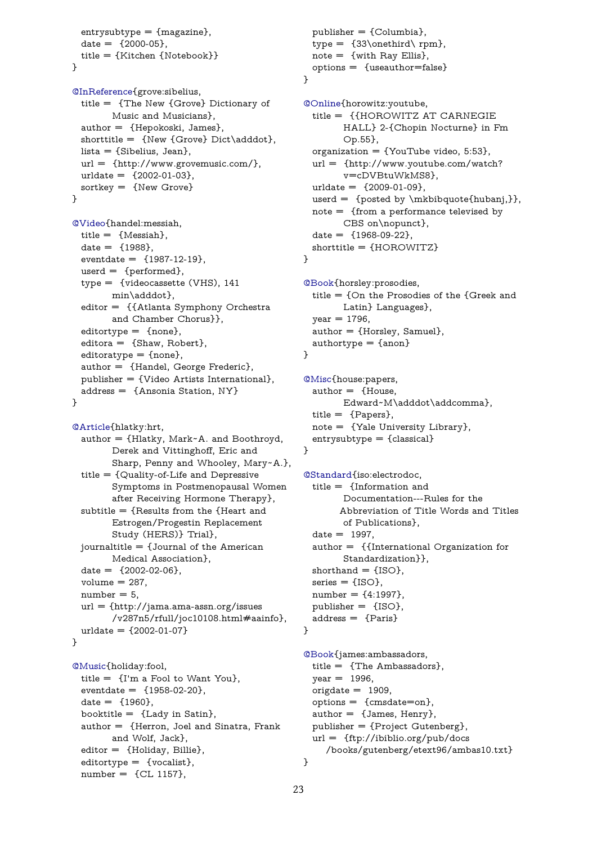```
title = {Kitchen {Notebook}}
}
```
<span id="page-22-8"></span>@InReference{grove:sibelius, title = {The New {Grove} Dictionary of Music and Musicians}, author = {Hepokoski, James}, [shorttitle =](#page-13-3) {New {Grove} Dict\adddot}, lista = {Sibelius, Jean},  $url = \{http://www.grownumusic.com/\},\$ urldate =  ${2002 - 01 - 03}$ , sortkey = {New Grove} }

<span id="page-22-1"></span>@Video{handel:messiah, title  $= \{$ Messiah $\}$ ,  $date = {1988},$ eventdate =  ${1987-12-19}$ , [userd](#page-11-5) = {performed}, type = {videocassette (VHS), 141 min\adddot}, editor = {{Atlanta Symphony Orchestra and Chamber Chorus}},  $editortype = {none},$ editora = {Shaw, Robert},  $editorotype = {none},$ author = {Handel, George Frederic}, publisher = {Video Artists International}, address = {Ansonia Station, NY} }

```
@Article{hlatky:hrt,
 author = {Hlatky, Mark~A. and Boothroyd,
        Derek and Vittinghoff, Eric and
        Sharp, Penny and Whooley, Mary~A.},
 title = {Quality-of-Life and Depressive
        Symptoms in Postmenopausal Women
        after Receiving Hormone Therapy},
 subtitle = {Results from the {Heart and
        Estrogen/Progestin Replacement
        Study (HERS)} Trial},
 journaltitle = {Journal of the American
        Medical Association},
 date = \{2002 - 02 - 06\},\volume = 287,
 number = 5,
 url = {http://jama.ama-assn.org/issues
        /v287n5/rfull/joc10108.html#aainfo},
 urldate = {2002-01-07}
}
```

```
@Music{holiday:fool,
 title = {I'm a Fool to Want You},
 eventdate = \{1958-02-20\},date = {1960},booktitle = {Lady in Satin},
 author = {Herron, Joel and Sinatra, Frank
        and Wolf, Jack},
 editor = {Holiday, Billie},
 editortype = {vocalist},
 number = \{CL 1157\},\
```
 $note = {with Ray Ellis},$ options = {useauthor=false} } @Online{horowitz:youtube, title = {{HOROWITZ AT CARNEGIE

<span id="page-22-4"></span>HALL} 2-{Chopin Nocturne} in Fm Op.55}, [organi](#page-12-4)zation =  $\{YouTube video, 5:53\},\$ url = {http://www.youtube.com/watch? v=cDVBtuWkMS8},

 $urldate = {2009-01-09},$ userd =  ${posted by \mkbibquote{hubanj.}}$ note = {from a performance televised by CBS on\nopunct},

date  $=$   $\{1968-09-22\}$ , shorttitle = {HOROWITZ}

#### }

```
@Book{horsley:prosodies,
  title = {On the Prosodies of the {Greek and
        Latin} Languages},
  year = 1796,author = {Horsley, Samuel},authortype = {anon}
```
#### <span id="page-22-5"></span>}

@Misc{house:papers,  $author = {House,}$ Edward~M\adddot\addcomma}, title = {Papers}, [note](#page-12-2) = {Yale University Library}, entrysubtype = {classical} }

```
@Standard{iso:electrodoc,
 title = {Information and
        Documentation---Rules for the
       Abbreviation of Title Words and Titles
       of Publications},
 date = 1997,author = {{International Organization for
        Standardization}},
 shorthand = {ISO},
 series = \{ISO\},\number = {4:1997},
 publisher = {ISO},
 address = {Paris}
```
#### }

<span id="page-22-7"></span>@Book{james:ambassadors, title = {The Ambassadors},  $year = 1996,$  $origdate = 1909,$  $options = {cmsdate=on},$  $options = {cmsdate=on},$ author  $=$  {James, Henry}, publisher = {Project Gutenberg}, url = {ftp://ibiblio.org/pub/docs /books/gutenberg/etext96/ambas10.txt} }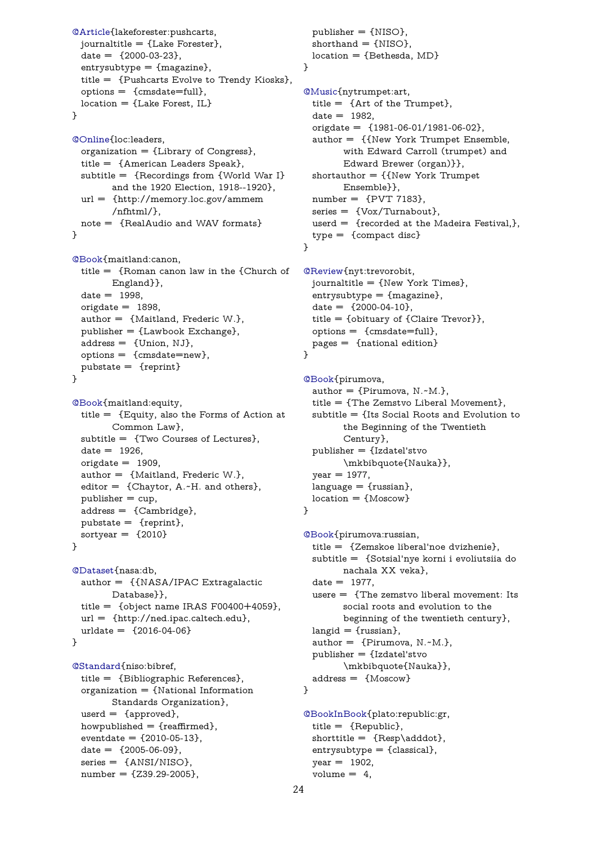```
date = \{2000 - 03 - 23\},\entrysubtype = {magazine},
 title = {Pushcarts Evolve to Trendy Kiosks},
 options = {cmsdate=full},
 location = \{ Lake Forest, IL\}}
@Online{loc:leaders,
 organization = {Library of Congress},
 title = {American Leaders Speak},
 subtitle = {Recordings from {World War I}
        and the 1920 Election, 1918--1920},
 url = {http://memory.loc.gov/ammem
        /nfhtml/},
 note = {RealAudio and WAV formats}
}
@Book{maitland:canon,
 title = {Roman canon law in the {Church of
        England}},
 date = 1998,origdate = 1898,
 author = {Maitland, Frederic W.},
 publisher = {Lawbook Exchange},
 address = {Union, NJ},
 options = {cmsdate=new},
 pubstate = {reprint}
}
@Book{maitland:equity,
 title = {Equity, also the Forms of Action at
        Common Law},
 subtitle = {Two Courses of Lectures},
 date = 1926,origdate = 1909,author = {Maitland, Frederic W.},
 editor = {Chaytor, A.~H. and others},
 public = cup,address = {Cambridge},
 pubits = {reprint},sortyear = {2010}
}
@Dataset{nasa:db,
 author = {{NASA/IPAC Extragalactic
        Database}},
 title = {object name IRAS F00400+4059},
 url = {http://ned.ipac.caltech.edu},
 urldate = {2016-04-06}
}
@Standard{niso:bibref,
 title = {Bibliographic References},
 organization = {National Information
        Standards Organization},
 userd = {approved},
 howpublished = {reaffirmed},
 eventdate = \{2010-05-13\},date = {2005-06-09},
 series = {ANSI/NISO},
 number = \{Z39.29 - 2005\},\
```

```
location = {Bethesda, MD}}
@Music{nytrumpet:art,
  title = \{ Art \ of \ the \ Trump, \},
  date = 1982,origdate = {1981-06-01/1981-06-02},
  author = {{New York Trumpet Ensemble,
        with Edward Carroll (trumpet) and
        Edward Brewer (organ)}},
  shortauthor = {{New York Trumpet
        Ensemble}},
  number = {PVT 7183},
  series = \{Vox/Turnabout\},\userd = {recorded at the Madeira Festival,},
  type = {compact disc}
}
```

```
@Review{nyt:trevorobit,
 journaltitle = {New York Times},
  entrysubtype = {magazine},
  date = \{2000 - 04 - 10\},\title = {obituary of {Claire Trevor}},
  options = {cmsdate=full},
 pages = {national edition}
}
```

```
@Book{pirumova,
  author = {Pirumova, N.-M.\},
  title = {The Zemstvo Liberal Movement},
  subtitle = {Its Social Roots and Evolution to
        the Beginning of the Twentieth
        Century},
  publisher = {Izdatel'stvo
        \mkbibquote{Nauka}},
  year = 1977,language = {russian},location = \{Moscow\}
```

```
}
```

```
@Book{pirumova:russian,
  title = {Zemskoe liberal'noe dvizhenie},
  subtitle = {Sotsial'nye korni i evoliutsiia do
        nachala XX veka},
  date = 1977,usere = {The zemstvo liberal movement: Its
        social roots and evolution to the
        beginning of the twentieth century},
 langid = {russian},author = {Pirumova, N.-M.\},
  publisher = {Izdatel'stvo
        \mkbibquote{Nauka}},
  address = {Moscow}
}
@BookInBook{plato:republic:gr,
```

```
title = {Republic},
shorttitle = {Resp\adddot},entrysubtype = {classical},
year = 1902,volume = 4,
```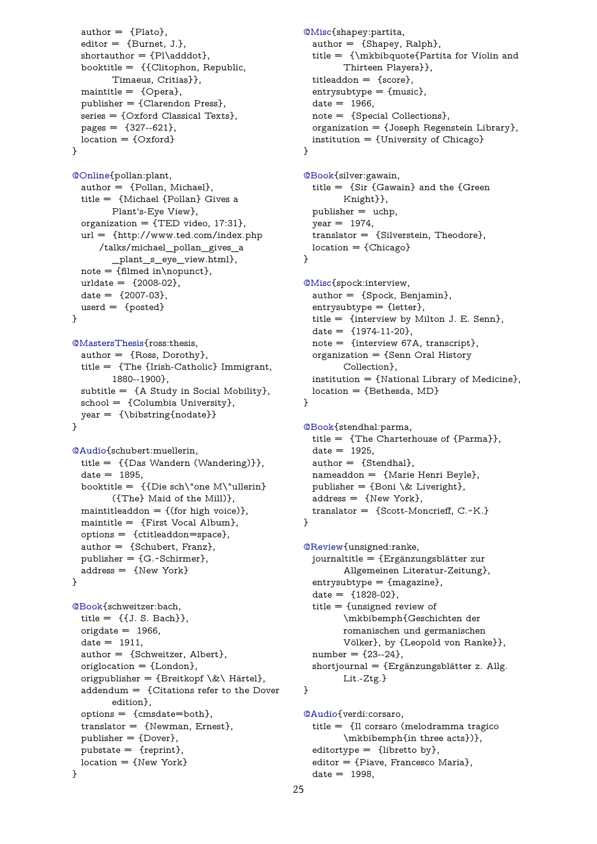```
shortauthor = {Pl\adddot},
booktitle = {{Clitophon, Republic,
      Timaeus, Critias}},
maintitle = {Opera},
publisher = {Clarendon Press},
series = {Oxford Classical Texts},
pages = \{327 - 621\},location = \{Oxford\}
```
}

```
@Online{pollan:plant,
 author = {Pollan, Michael},
 title = {Michael {Pollan} Gives a
        Plant's-Eye View},
 organization = \{TED video, 17:31},
 url = \{http://www.ted.com/index.php/talks/michael_pollan_gives_a
        _plant_s_eye_view.html},
 note = \{filmed in \nonumber\},
 urldate = {2008-02},date = \{2007 - 03\},\userd = {posted}
}
```

```
@MastersThesis{ross:thesis,
 author = {Ross, Dorothy},title = {The {Irish-Catholic} Immigrant,
        1880--1900},
 subtitle = \{A \text{ Study in Social Mobility}\},\school = {Columbia University},
 year = {\bibstring{nodate}}
}
```

```
@Audio{schubert:muellerin,
 title = {{Das Wandern (Wandering)}},
 date = 1895,booktitle = {Die sch\`one M\`ullerh}({The} Maid of the Mill)},
 maintitleaddon = \{ (for high voice)\},maintitle = {First Vocal Album},
 options = {ctitleaddon=space},
 author = {Schubert, Franz},
 publisher = \{G.-Schirmer\},\address = {New York}
}
```

```
@Book{schweitzer:bach,
 title = \{ \{\text{J. S. Bach}\}\},\origdate = 1966,date = 1911,author = {Schweitzer, Albert},
 origlocation = {London},
 origpublisher = \{Breit kopf \&\ Härtel},
 addendum = {Citations refer to the Dover
        edition},
 options = {cm}state = both,
 translator = {Newman, Ernest},
 public = {Dover},pubits = {reprint},location = {New York}
}
```

```
title = {\mkbibquote{Partita for Violin and
      Thirteen Players}},
titleaddon = {score},
entrysubtype = {music},
date = 1966,note = {Special Collections},
organization = \{Joseph Regenstein Library\},\institution = {University of Chicago}
```

```
}
```

```
@Book{silver:gawain,
 title = {Sir} {Gawain} and the {Green}
        Knight}},
 publisher = uchp,
 year = 1974,translator = {Silverstein, Theodore},
 location = {Chicago}}
```

```
@Misc{spock:interview,
  author = {Spock, Benjamin},
  entrysubtype = {letter},
 title = {interview by Milton J. E. Senn},
  date = {1974-11-20},
 note = {interview 67A, transcript},
  organization = {Senn Oral History}Collection},
 institution = {National Library of Medicine},
 location = {Bethesda, MD}
}
```

```
@Book{stendhal:parma,
  title = {The Charterhouse of {Parma}},
  date = 1925,author = {Stendhal},
 nameaddon = {Marie Henri Beyle},
 publisher = \{Boni \& Liveright\},
 address = \{New York\},\translator = {Scott-Moncrieff, C.-K.}}
```

```
@Review{unsigned:ranke,
 journaltitle = {Ergänzungsblätter zur
        Allgemeinen Literatur-Zeitung},
  entrysubtype = {mag}azine},
  date = \{1828-02\},\title = {unsigned review of
        \mkbibemph{Geschichten der
        romanischen und germanischen
        Völker}, by {Leopold von Ranke}},
 number = {23--24},
  shortjournal = {Ergänzungsblätter z. Allg.}Lit.-Ztg.}
}
```
<span id="page-24-8"></span>@Audio{verdi:corsaro, title = {Il corsaro (melodramma tragico \mkbibemph{in three acts})}, editortype =  $\{$ libretto by $\},$ [editor](#page-16-6) = {Piave, Francesco Maria},  $date = 1998,$